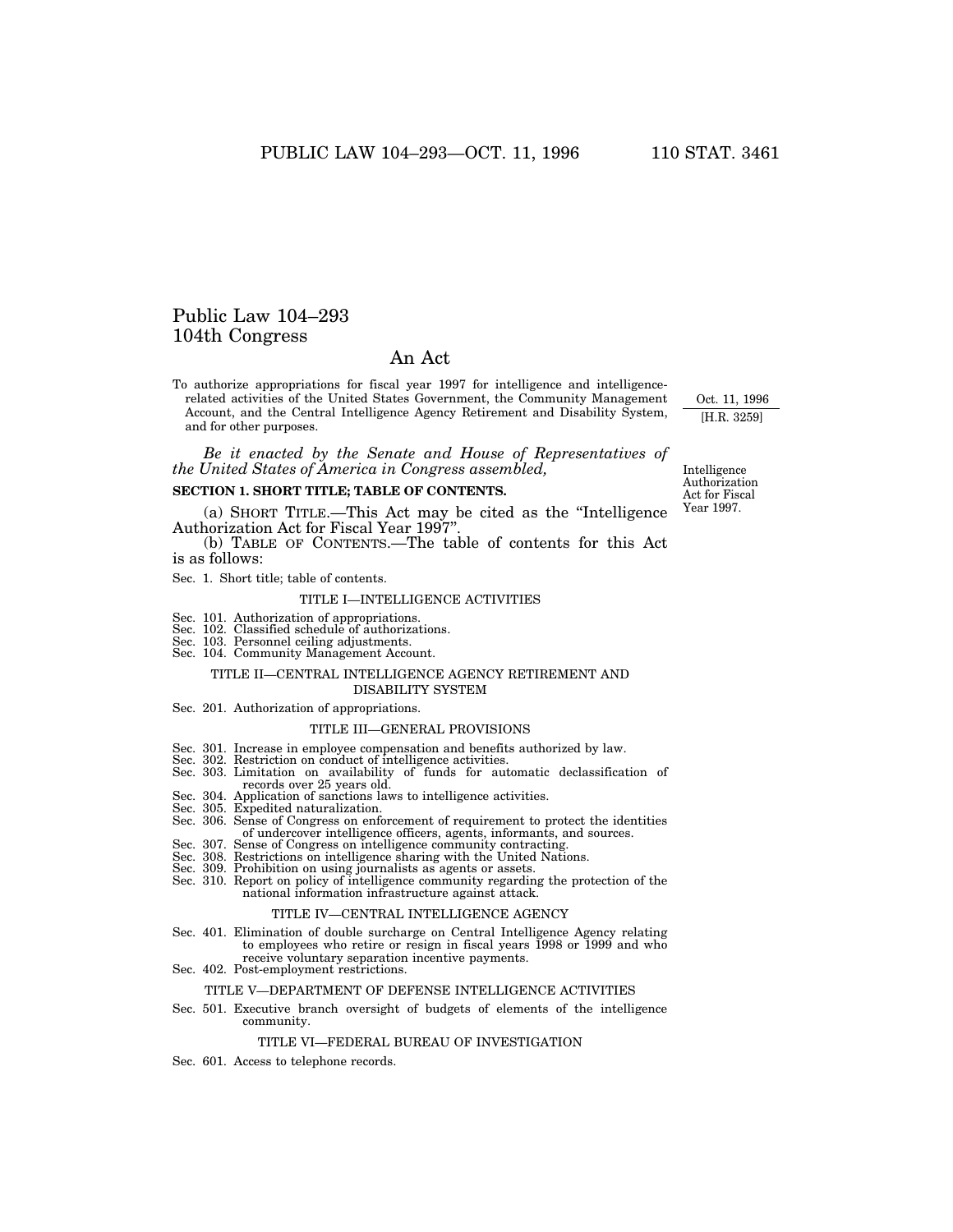# Public Law 104–293 104th Congress

# An Act

To authorize appropriations for fiscal year 1997 for intelligence and intelligencerelated activities of the United States Government, the Community Management Account, and the Central Intelligence Agency Retirement and Disability System, and for other purposes.

*Be it enacted by the Senate and House of Representatives of the United States of America in Congress assembled,*

## **SECTION 1. SHORT TITLE; TABLE OF CONTENTS.**

(a) SHORT TITLE.—This Act may be cited as the ''Intelligence Authorization Act for Fiscal Year 1997''.

(b) TABLE OF CONTENTS.—The table of contents for this Act is as follows:

Sec. 1. Short title; table of contents.

### TITLE I—INTELLIGENCE ACTIVITIES

- 
- Sec. 101. Authorization of appropriations. Sec. 102. Classified schedule of authorizations.
- Sec. 103. Personnel ceiling adjustments.
- Sec. 104. Community Management Account.

### TITLE II—CENTRAL INTELLIGENCE AGENCY RETIREMENT AND DISABILITY SYSTEM

Sec. 201. Authorization of appropriations.

#### TITLE III—GENERAL PROVISIONS

- 
- 
- Sec. 301. Increase in employee compensation and benefits authorized by law. Sec. 302. Restriction on conduct of intelligence activities. Sec. 303. Limitation on availability of funds for automatic declassification of records over 25 years old.
- Sec. 304. Application of sanctions laws to intelligence activities.
- Sec. 305. Expedited naturalization.
- Sec. 306. Sense of Congress on enforcement of requirement to protect the identities of undercover intelligence officers, agents, informants, and sources.
- Sec. 307. Sense of Congress on intelligence community contracting. Sec. 308. Restrictions on intelligence sharing with the United Nations. Sec. 309. Prohibition on using journalists as agents or assets.
- 
- Sec. 310. Report on policy of intelligence community regarding the protection of the national information infrastructure against attack.

#### TITLE IV—CENTRAL INTELLIGENCE AGENCY

- Sec. 401. Elimination of double surcharge on Central Intelligence Agency relating to employees who retire or resign in fiscal years 1998 or 1999 and who receive voluntary separation incentive payments.
- Sec. 402. Post-employment restrictions.

#### TITLE V—DEPARTMENT OF DEFENSE INTELLIGENCE ACTIVITIES

Sec. 501. Executive branch oversight of budgets of elements of the intelligence community.

### TITLE VI—FEDERAL BUREAU OF INVESTIGATION

Sec. 601. Access to telephone records.

Intelligence Authorization Act for Fiscal Year 1997.

Oct. 11, 1996 [H.R. 3259]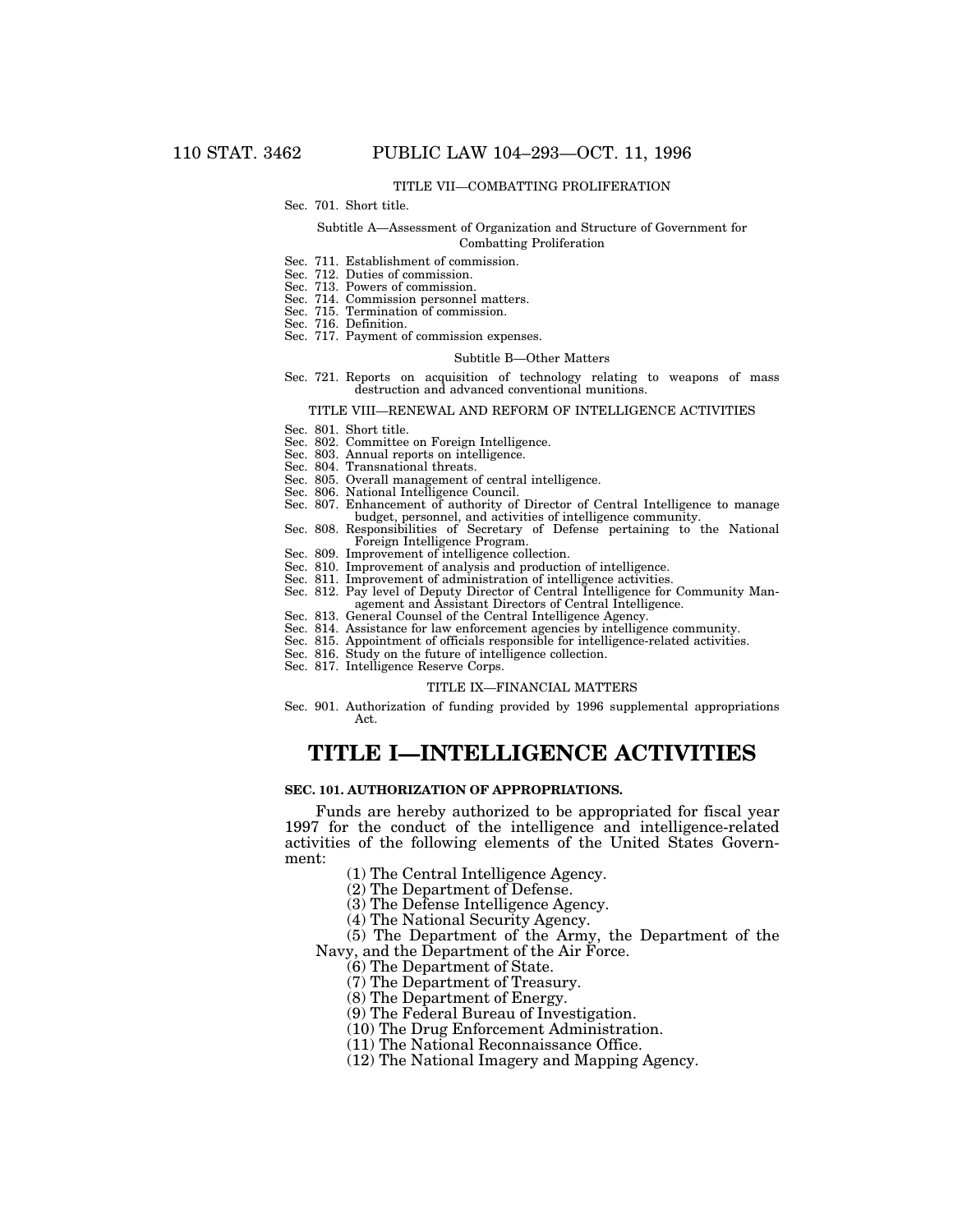## TITLE VII—COMBATTING PROLIFERATION

## Sec. 701. Short title.

### Subtitle A—Assessment of Organization and Structure of Government for Combatting Proliferation

- Sec. 711. Establishment of commission.
- Sec. 712. Duties of commission.
- Sec. 713. Powers of commission.
- Sec. 714. Commission personnel matters.
- Sec. 715. Termination of commission.
- Sec. 716. Definition.
- Sec. 717. Payment of commission expenses.

#### Subtitle B—Other Matters

Sec. 721. Reports on acquisition of technology relating to weapons of mass destruction and advanced conventional munitions.

#### TITLE VIII—RENEWAL AND REFORM OF INTELLIGENCE ACTIVITIES

- Sec. 801. Short title.
- Sec. 802. Committee on Foreign Intelligence.
- Sec. 803. Annual reports on intelligence.
- Sec. 804. Transnational threats.
- Sec. 805. Overall management of central intelligence.
- Sec. 806. National Intelligence Council.
- Sec. 807. Enhancement of authority of Director of Central Intelligence to manage budget, personnel, and activities of intelligence community.
- Sec. 808. Responsibilities of Secretary of Defense pertaining to the National Foreign Intelligence Program.
- Sec. 809. Improvement of intelligence collection.
- Sec. 810. Improvement of analysis and production of intelligence.
- Sec. 811. Improvement of administration of intelligence activities.
- Sec. 812. Pay level of Deputy Director of Central Intelligence for Community Management and Assistant Directors of Central Intelligence.
- Sec. 813. General Counsel of the Central Intelligence Agency.
- Sec. 814. Assistance for law enforcement agencies by intelligence community.
- Sec. 815. Appointment of officials responsible for intelligence-related activities.
- Sec. 816. Study on the future of intelligence collection.
- Sec. 817. Intelligence Reserve Corps.

#### TITLE IX—FINANCIAL MATTERS

Sec. 901. Authorization of funding provided by 1996 supplemental appropriations Act.

# **TITLE I—INTELLIGENCE ACTIVITIES**

## **SEC. 101. AUTHORIZATION OF APPROPRIATIONS.**

Funds are hereby authorized to be appropriated for fiscal year 1997 for the conduct of the intelligence and intelligence-related activities of the following elements of the United States Government:

(1) The Central Intelligence Agency.

(2) The Department of Defense.

(3) The Defense Intelligence Agency.

(4) The National Security Agency.

(5) The Department of the Army, the Department of the Navy, and the Department of the Air Force.

(6) The Department of State.

(7) The Department of Treasury.

(8) The Department of Energy.

(9) The Federal Bureau of Investigation.

(10) The Drug Enforcement Administration.

(11) The National Reconnaissance Office.

(12) The National Imagery and Mapping Agency.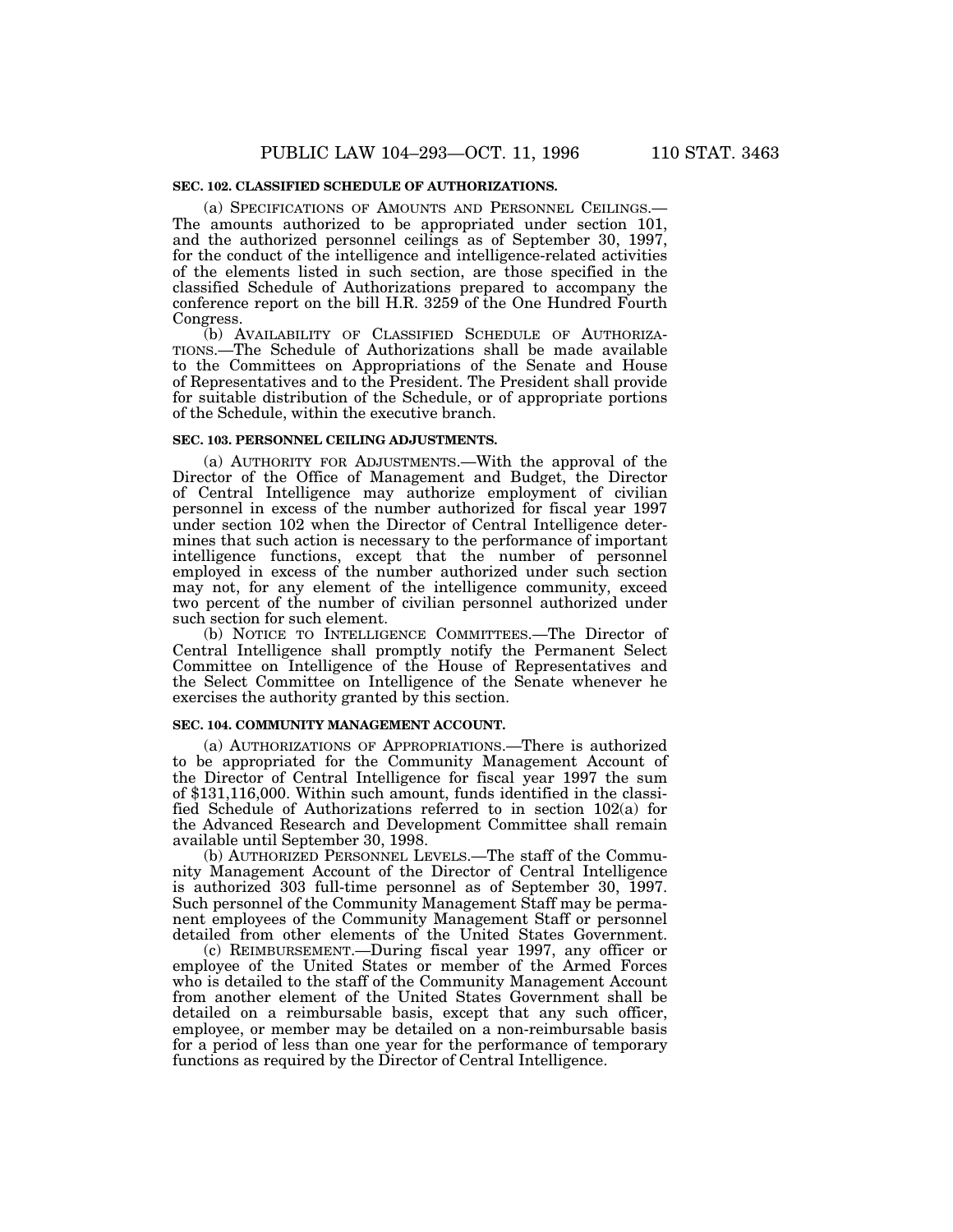## **SEC. 102. CLASSIFIED SCHEDULE OF AUTHORIZATIONS.**

(a) SPECIFICATIONS OF AMOUNTS AND PERSONNEL CEILINGS.— The amounts authorized to be appropriated under section 101, and the authorized personnel ceilings as of September 30, 1997, for the conduct of the intelligence and intelligence-related activities of the elements listed in such section, are those specified in the classified Schedule of Authorizations prepared to accompany the conference report on the bill H.R. 3259 of the One Hundred Fourth Congress.

(b) AVAILABILITY OF CLASSIFIED SCHEDULE OF AUTHORIZA-TIONS.—The Schedule of Authorizations shall be made available to the Committees on Appropriations of the Senate and House of Representatives and to the President. The President shall provide for suitable distribution of the Schedule, or of appropriate portions of the Schedule, within the executive branch.

#### **SEC. 103. PERSONNEL CEILING ADJUSTMENTS.**

(a) AUTHORITY FOR ADJUSTMENTS.—With the approval of the Director of the Office of Management and Budget, the Director of Central Intelligence may authorize employment of civilian personnel in excess of the number authorized for fiscal year 1997 under section 102 when the Director of Central Intelligence determines that such action is necessary to the performance of important intelligence functions, except that the number of personnel employed in excess of the number authorized under such section may not, for any element of the intelligence community, exceed two percent of the number of civilian personnel authorized under such section for such element.

(b) NOTICE TO INTELLIGENCE COMMITTEES.—The Director of Central Intelligence shall promptly notify the Permanent Select Committee on Intelligence of the House of Representatives and the Select Committee on Intelligence of the Senate whenever he exercises the authority granted by this section.

### **SEC. 104. COMMUNITY MANAGEMENT ACCOUNT.**

(a) AUTHORIZATIONS OF APPROPRIATIONS.—There is authorized to be appropriated for the Community Management Account of the Director of Central Intelligence for fiscal year 1997 the sum of \$131,116,000. Within such amount, funds identified in the classified Schedule of Authorizations referred to in section 102(a) for the Advanced Research and Development Committee shall remain available until September 30, 1998.

(b) AUTHORIZED PERSONNEL LEVELS.—The staff of the Community Management Account of the Director of Central Intelligence is authorized 303 full-time personnel as of September 30, 1997. Such personnel of the Community Management Staff may be permanent employees of the Community Management Staff or personnel detailed from other elements of the United States Government.

(c) REIMBURSEMENT.—During fiscal year 1997, any officer or employee of the United States or member of the Armed Forces who is detailed to the staff of the Community Management Account from another element of the United States Government shall be detailed on a reimbursable basis, except that any such officer, employee, or member may be detailed on a non-reimbursable basis for a period of less than one year for the performance of temporary functions as required by the Director of Central Intelligence.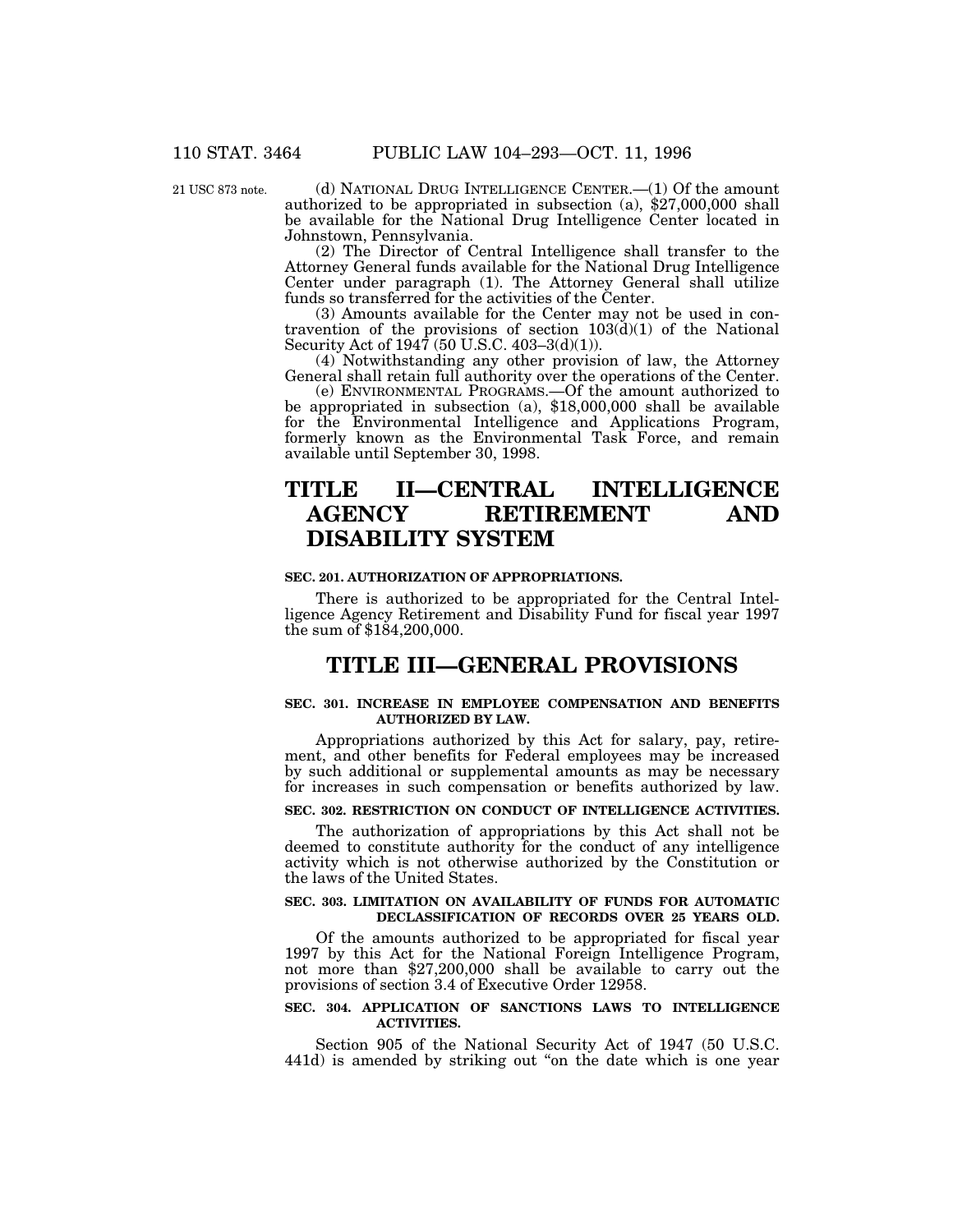21 USC 873 note.

(d) NATIONAL DRUG INTELLIGENCE CENTER.—(1) Of the amount authorized to be appropriated in subsection (a), \$27,000,000 shall be available for the National Drug Intelligence Center located in Johnstown, Pennsylvania.

(2) The Director of Central Intelligence shall transfer to the Attorney General funds available for the National Drug Intelligence Center under paragraph (1). The Attorney General shall utilize funds so transferred for the activities of the Center.

(3) Amounts available for the Center may not be used in contravention of the provisions of section 103(d)(1) of the National Security Act of 1947 (50 U.S.C. 403–3(d)(1)).

(4) Notwithstanding any other provision of law, the Attorney General shall retain full authority over the operations of the Center.

(e) ENVIRONMENTAL PROGRAMS.—Of the amount authorized to be appropriated in subsection (a), \$18,000,000 shall be available for the Environmental Intelligence and Applications Program, formerly known as the Environmental Task Force, and remain available until September 30, 1998.

# **TITLE II—CENTRAL INTELLIGENCE AGENCY RETIREMENT AND DISABILITY SYSTEM**

### **SEC. 201. AUTHORIZATION OF APPROPRIATIONS.**

There is authorized to be appropriated for the Central Intelligence Agency Retirement and Disability Fund for fiscal year 1997 the sum of \$184,200,000.

# **TITLE III—GENERAL PROVISIONS**

## **SEC. 301. INCREASE IN EMPLOYEE COMPENSATION AND BENEFITS AUTHORIZED BY LAW.**

Appropriations authorized by this Act for salary, pay, retirement, and other benefits for Federal employees may be increased by such additional or supplemental amounts as may be necessary for increases in such compensation or benefits authorized by law.

## **SEC. 302. RESTRICTION ON CONDUCT OF INTELLIGENCE ACTIVITIES.**

The authorization of appropriations by this Act shall not be deemed to constitute authority for the conduct of any intelligence activity which is not otherwise authorized by the Constitution or the laws of the United States.

## **SEC. 303. LIMITATION ON AVAILABILITY OF FUNDS FOR AUTOMATIC DECLASSIFICATION OF RECORDS OVER 25 YEARS OLD.**

Of the amounts authorized to be appropriated for fiscal year 1997 by this Act for the National Foreign Intelligence Program, not more than \$27,200,000 shall be available to carry out the provisions of section 3.4 of Executive Order 12958.

## **SEC. 304. APPLICATION OF SANCTIONS LAWS TO INTELLIGENCE ACTIVITIES.**

Section 905 of the National Security Act of 1947 (50 U.S.C. 441d) is amended by striking out "on the date which is one year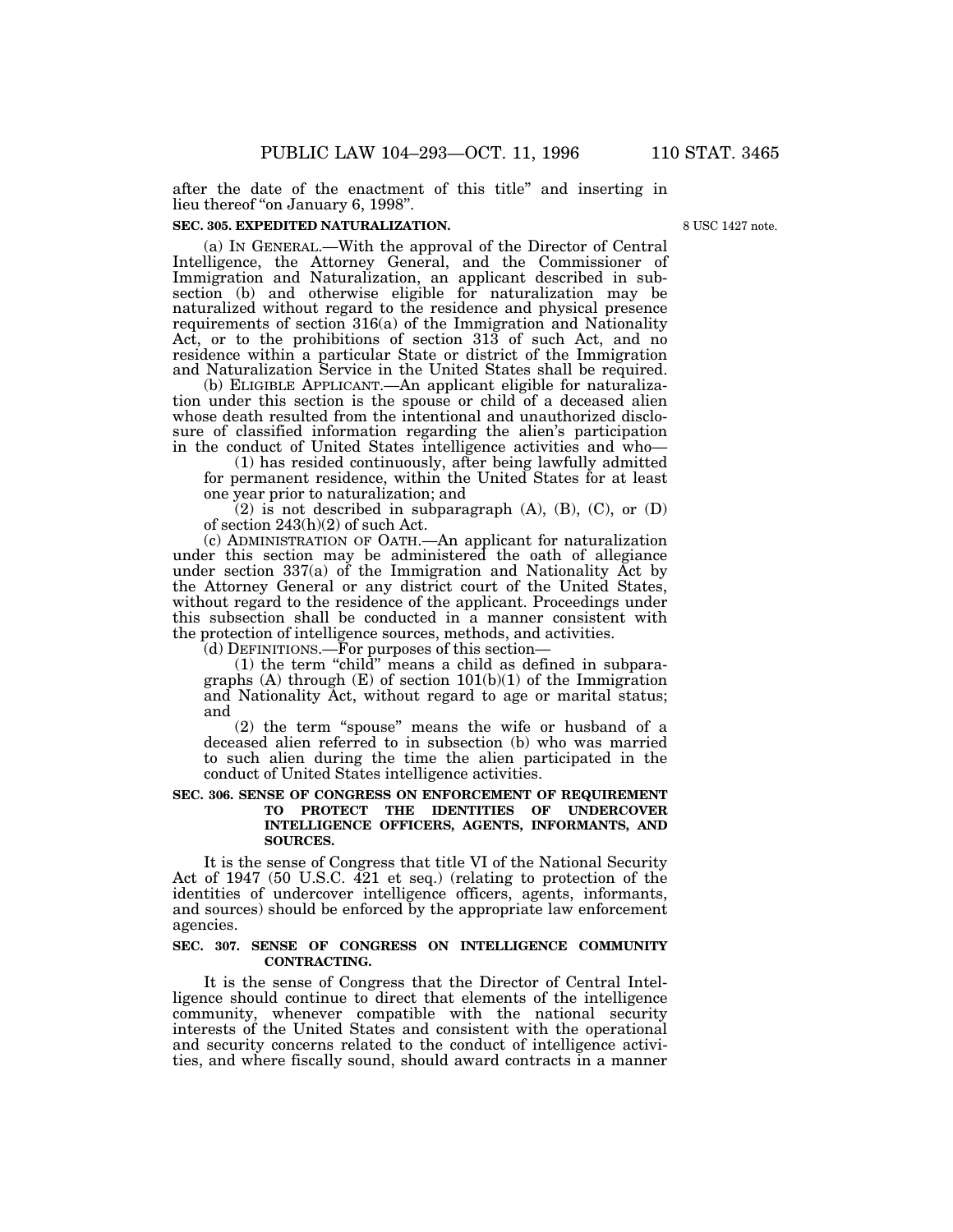after the date of the enactment of this title'' and inserting in lieu thereof "on January 6, 1998".

### **SEC. 305. EXPEDITED NATURALIZATION.**

8 USC 1427 note.

(a) IN GENERAL.—With the approval of the Director of Central Intelligence, the Attorney General, and the Commissioner of Immigration and Naturalization, an applicant described in subsection (b) and otherwise eligible for naturalization may be naturalized without regard to the residence and physical presence requirements of section 316(a) of the Immigration and Nationality Act, or to the prohibitions of section 313 of such Act, and no residence within a particular State or district of the Immigration and Naturalization Service in the United States shall be required.

(b) ELIGIBLE APPLICANT.—An applicant eligible for naturalization under this section is the spouse or child of a deceased alien whose death resulted from the intentional and unauthorized disclosure of classified information regarding the alien's participation in the conduct of United States intelligence activities and who—

(1) has resided continuously, after being lawfully admitted for permanent residence, within the United States for at least one year prior to naturalization; and

 $(2)$  is not described in subparagraph (A), (B), (C), or (D) of section 243(h)(2) of such Act.

(c) ADMINISTRATION OF OATH.—An applicant for naturalization under this section may be administered the oath of allegiance under section 337(a) of the Immigration and Nationality Act by the Attorney General or any district court of the United States, without regard to the residence of the applicant. Proceedings under this subsection shall be conducted in a manner consistent with the protection of intelligence sources, methods, and activities.

(d) DEFINITIONS.—For purposes of this section—

(1) the term ''child'' means a child as defined in subparagraphs (A) through (E) of section 101(b)(1) of the Immigration and Nationality Act, without regard to age or marital status; and

(2) the term ''spouse'' means the wife or husband of a deceased alien referred to in subsection (b) who was married to such alien during the time the alien participated in the conduct of United States intelligence activities.

## **SEC. 306. SENSE OF CONGRESS ON ENFORCEMENT OF REQUIREMENT TO PROTECT THE IDENTITIES OF UNDERCOVER INTELLIGENCE OFFICERS, AGENTS, INFORMANTS, AND SOURCES.**

It is the sense of Congress that title VI of the National Security Act of 1947 (50 U.S.C. 421 et seq.) (relating to protection of the identities of undercover intelligence officers, agents, informants, and sources) should be enforced by the appropriate law enforcement agencies.

## **SEC. 307. SENSE OF CONGRESS ON INTELLIGENCE COMMUNITY CONTRACTING.**

It is the sense of Congress that the Director of Central Intelligence should continue to direct that elements of the intelligence community, whenever compatible with the national security interests of the United States and consistent with the operational and security concerns related to the conduct of intelligence activities, and where fiscally sound, should award contracts in a manner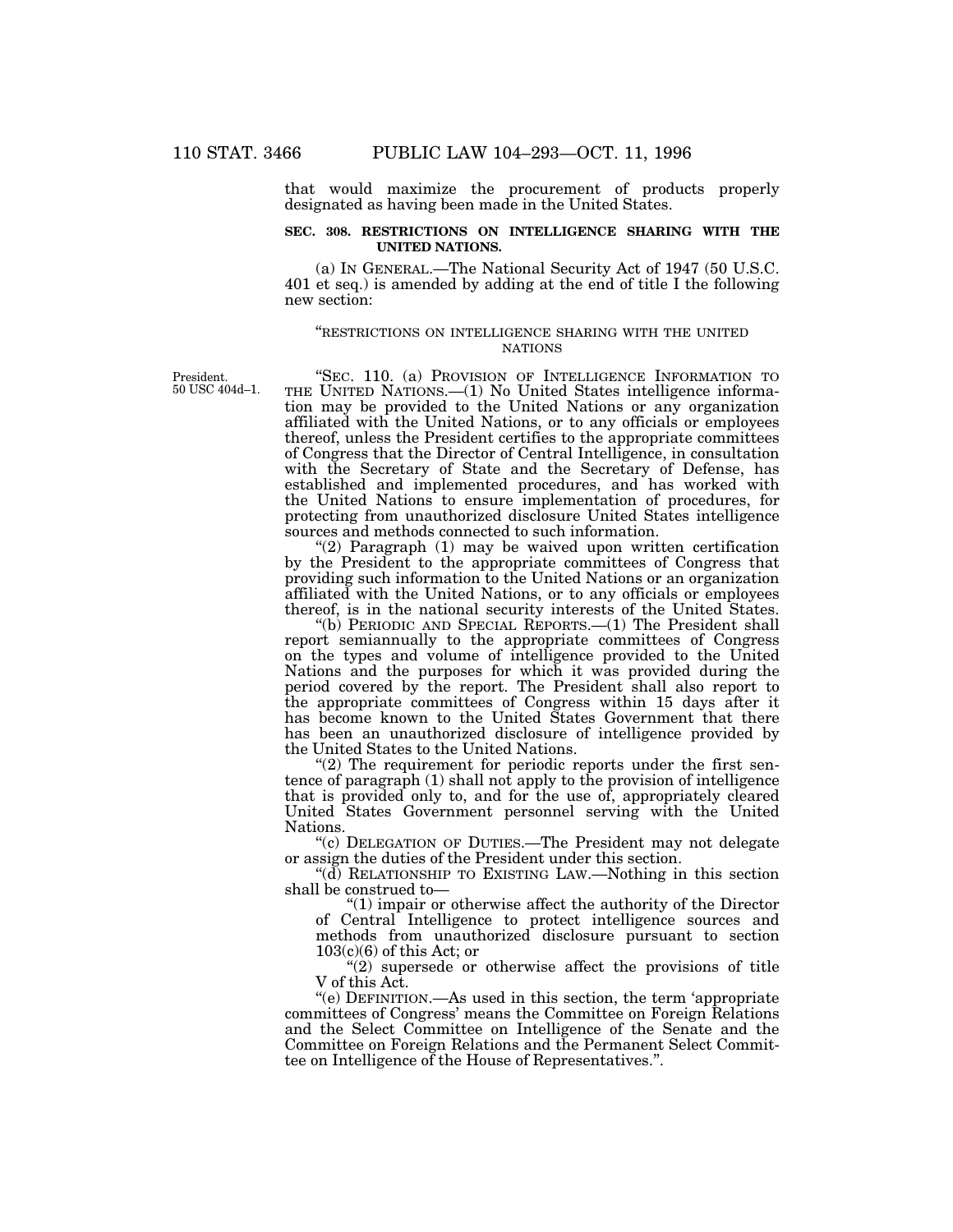that would maximize the procurement of products properly designated as having been made in the United States.

## **SEC. 308. RESTRICTIONS ON INTELLIGENCE SHARING WITH THE UNITED NATIONS.**

(a) IN GENERAL.—The National Security Act of 1947 (50 U.S.C. 401 et seq.) is amended by adding at the end of title I the following new section:

## ''RESTRICTIONS ON INTELLIGENCE SHARING WITH THE UNITED NATIONS

President. 50 USC 404d–1.

"SEC. 110. (a) PROVISION OF INTELLIGENCE INFORMATION TO THE UNITED NATIONS.—(1) No United States intelligence information may be provided to the United Nations or any organization affiliated with the United Nations, or to any officials or employees thereof, unless the President certifies to the appropriate committees of Congress that the Director of Central Intelligence, in consultation with the Secretary of State and the Secretary of Defense, has established and implemented procedures, and has worked with the United Nations to ensure implementation of procedures, for protecting from unauthorized disclosure United States intelligence sources and methods connected to such information.

"(2) Paragraph (1) may be waived upon written certification by the President to the appropriate committees of Congress that providing such information to the United Nations or an organization affiliated with the United Nations, or to any officials or employees thereof, is in the national security interests of the United States.

''(b) PERIODIC AND SPECIAL REPORTS.—(1) The President shall report semiannually to the appropriate committees of Congress on the types and volume of intelligence provided to the United Nations and the purposes for which it was provided during the period covered by the report. The President shall also report to the appropriate committees of Congress within 15 days after it has become known to the United States Government that there has been an unauthorized disclosure of intelligence provided by the United States to the United Nations.

" $(2)$  The requirement for periodic reports under the first sentence of paragraph (1) shall not apply to the provision of intelligence that is provided only to, and for the use of, appropriately cleared United States Government personnel serving with the United Nations.

''(c) DELEGATION OF DUTIES.—The President may not delegate or assign the duties of the President under this section.

''(d) RELATIONSHIP TO EXISTING LAW.—Nothing in this section shall be construed to—

"(1) impair or otherwise affect the authority of the Director of Central Intelligence to protect intelligence sources and methods from unauthorized disclosure pursuant to section  $103(c)(6)$  of this Act; or

''(2) supersede or otherwise affect the provisions of title V of this Act.

''(e) DEFINITION.—As used in this section, the term 'appropriate committees of Congress' means the Committee on Foreign Relations and the Select Committee on Intelligence of the Senate and the Committee on Foreign Relations and the Permanent Select Committee on Intelligence of the House of Representatives.''.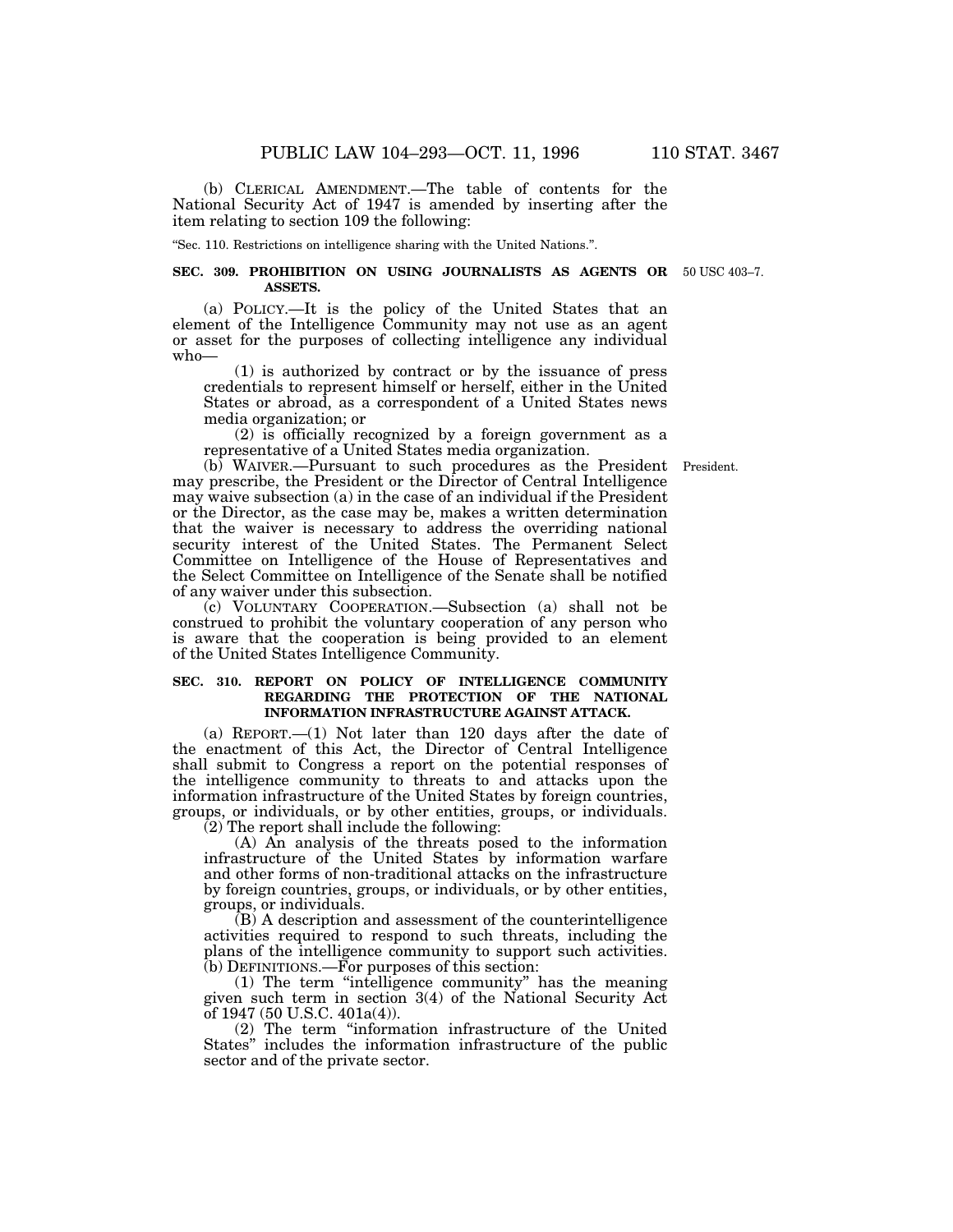(b) CLERICAL AMENDMENT.—The table of contents for the National Security Act of 1947 is amended by inserting after the item relating to section 109 the following:

''Sec. 110. Restrictions on intelligence sharing with the United Nations.''.

### **SEC. 309. PROHIBITION ON USING JOURNALISTS AS AGENTS OR** 50 USC 403–7.**ASSETS.**

(a) POLICY.—It is the policy of the United States that an element of the Intelligence Community may not use as an agent or asset for the purposes of collecting intelligence any individual who—

(1) is authorized by contract or by the issuance of press credentials to represent himself or herself, either in the United States or abroad, as a correspondent of a United States news media organization; or

(2) is officially recognized by a foreign government as a representative of a United States media organization.

(b) WAIVER.—Pursuant to such procedures as the President President. may prescribe, the President or the Director of Central Intelligence may waive subsection (a) in the case of an individual if the President or the Director, as the case may be, makes a written determination that the waiver is necessary to address the overriding national security interest of the United States. The Permanent Select Committee on Intelligence of the House of Representatives and the Select Committee on Intelligence of the Senate shall be notified of any waiver under this subsection.

(c) VOLUNTARY COOPERATION.—Subsection (a) shall not be construed to prohibit the voluntary cooperation of any person who is aware that the cooperation is being provided to an element of the United States Intelligence Community.

## **SEC. 310. REPORT ON POLICY OF INTELLIGENCE COMMUNITY REGARDING THE PROTECTION OF THE NATIONAL INFORMATION INFRASTRUCTURE AGAINST ATTACK.**

(a) REPORT.—(1) Not later than 120 days after the date of the enactment of this Act, the Director of Central Intelligence shall submit to Congress a report on the potential responses of the intelligence community to threats to and attacks upon the information infrastructure of the United States by foreign countries, groups, or individuals, or by other entities, groups, or individuals.  $(2)$  The report shall include the following:

(A) An analysis of the threats posed to the information infrastructure of the United States by information warfare and other forms of non-traditional attacks on the infrastructure by foreign countries, groups, or individuals, or by other entities, groups, or individuals.

(B) A description and assessment of the counterintelligence activities required to respond to such threats, including the plans of the intelligence community to support such activities. (b) DEFINITIONS.—For purposes of this section:

(1) The term ''intelligence community'' has the meaning given such term in section 3(4) of the National Security Act of 1947 (50 U.S.C. 401a(4)).

(2) The term ''information infrastructure of the United States'' includes the information infrastructure of the public sector and of the private sector.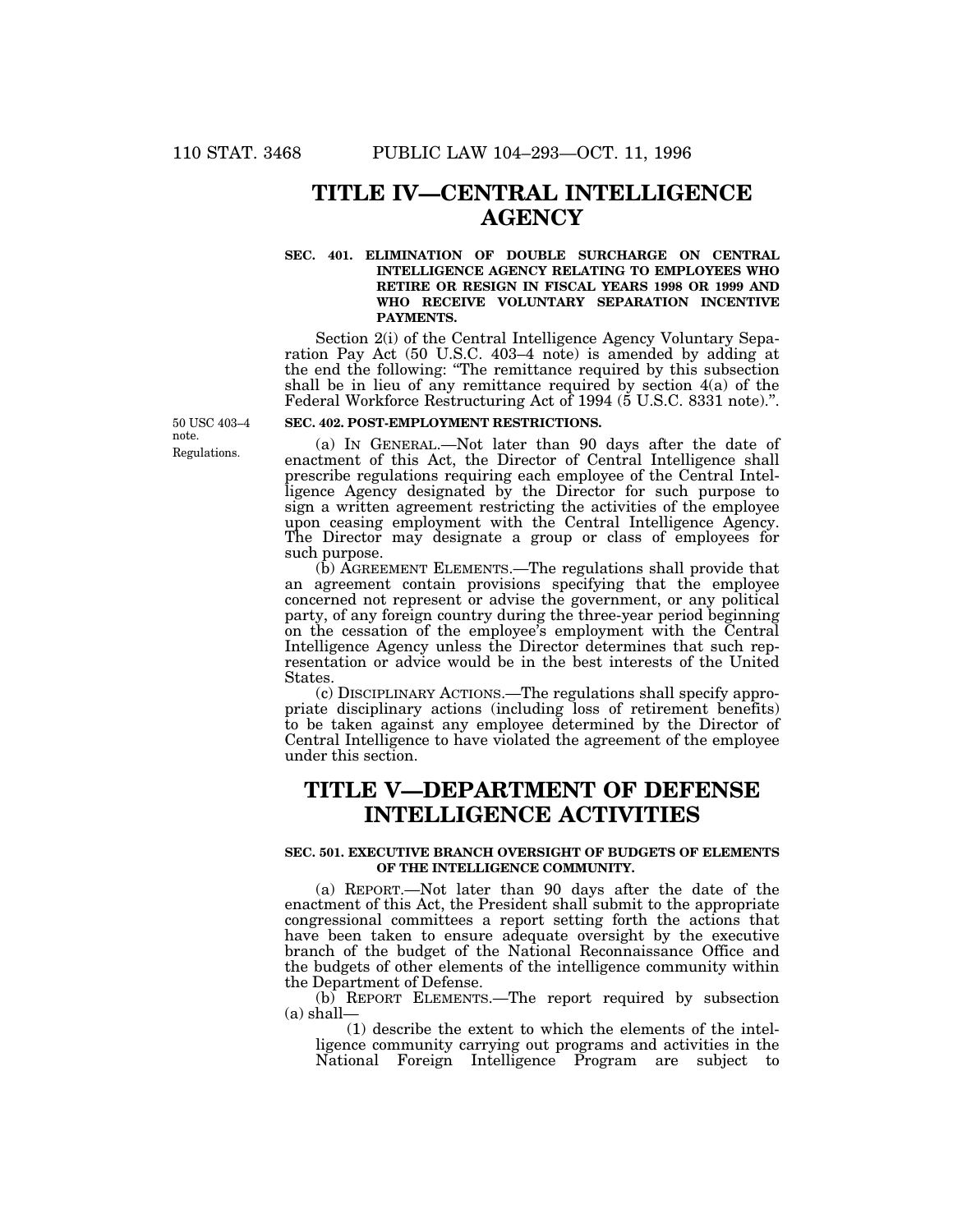# **TITLE IV—CENTRAL INTELLIGENCE AGENCY**

## **SEC. 401. ELIMINATION OF DOUBLE SURCHARGE ON CENTRAL INTELLIGENCE AGENCY RELATING TO EMPLOYEES WHO RETIRE OR RESIGN IN FISCAL YEARS 1998 OR 1999 AND WHO RECEIVE VOLUNTARY SEPARATION INCENTIVE PAYMENTS.**

Section 2(i) of the Central Intelligence Agency Voluntary Separation Pay Act (50 U.S.C. 403–4 note) is amended by adding at the end the following: ''The remittance required by this subsection shall be in lieu of any remittance required by section 4(a) of the Federal Workforce Restructuring Act of 1994 (5 U.S.C. 8331 note).''.

Regulations. 50 USC 403–4 note.

## **SEC. 402. POST-EMPLOYMENT RESTRICTIONS.**

(a) IN GENERAL.—Not later than 90 days after the date of enactment of this Act, the Director of Central Intelligence shall prescribe regulations requiring each employee of the Central Intelligence Agency designated by the Director for such purpose to sign a written agreement restricting the activities of the employee upon ceasing employment with the Central Intelligence Agency. The Director may designate a group or class of employees for such purpose.

(b) AGREEMENT ELEMENTS.—The regulations shall provide that an agreement contain provisions specifying that the employee concerned not represent or advise the government, or any political party, of any foreign country during the three-year period beginning on the cessation of the employee's employment with the Central Intelligence Agency unless the Director determines that such representation or advice would be in the best interests of the United States.

(c) DISCIPLINARY ACTIONS.—The regulations shall specify appropriate disciplinary actions (including loss of retirement benefits) to be taken against any employee determined by the Director of Central Intelligence to have violated the agreement of the employee under this section.

# **TITLE V—DEPARTMENT OF DEFENSE INTELLIGENCE ACTIVITIES**

## **SEC. 501. EXECUTIVE BRANCH OVERSIGHT OF BUDGETS OF ELEMENTS OF THE INTELLIGENCE COMMUNITY.**

(a) REPORT.—Not later than 90 days after the date of the enactment of this Act, the President shall submit to the appropriate congressional committees a report setting forth the actions that have been taken to ensure adequate oversight by the executive branch of the budget of the National Reconnaissance Office and the budgets of other elements of the intelligence community within the Department of Defense.

(b) REPORT ELEMENTS.—The report required by subsection  $(a)$  shall-

(1) describe the extent to which the elements of the intelligence community carrying out programs and activities in the National Foreign Intelligence Program are subject to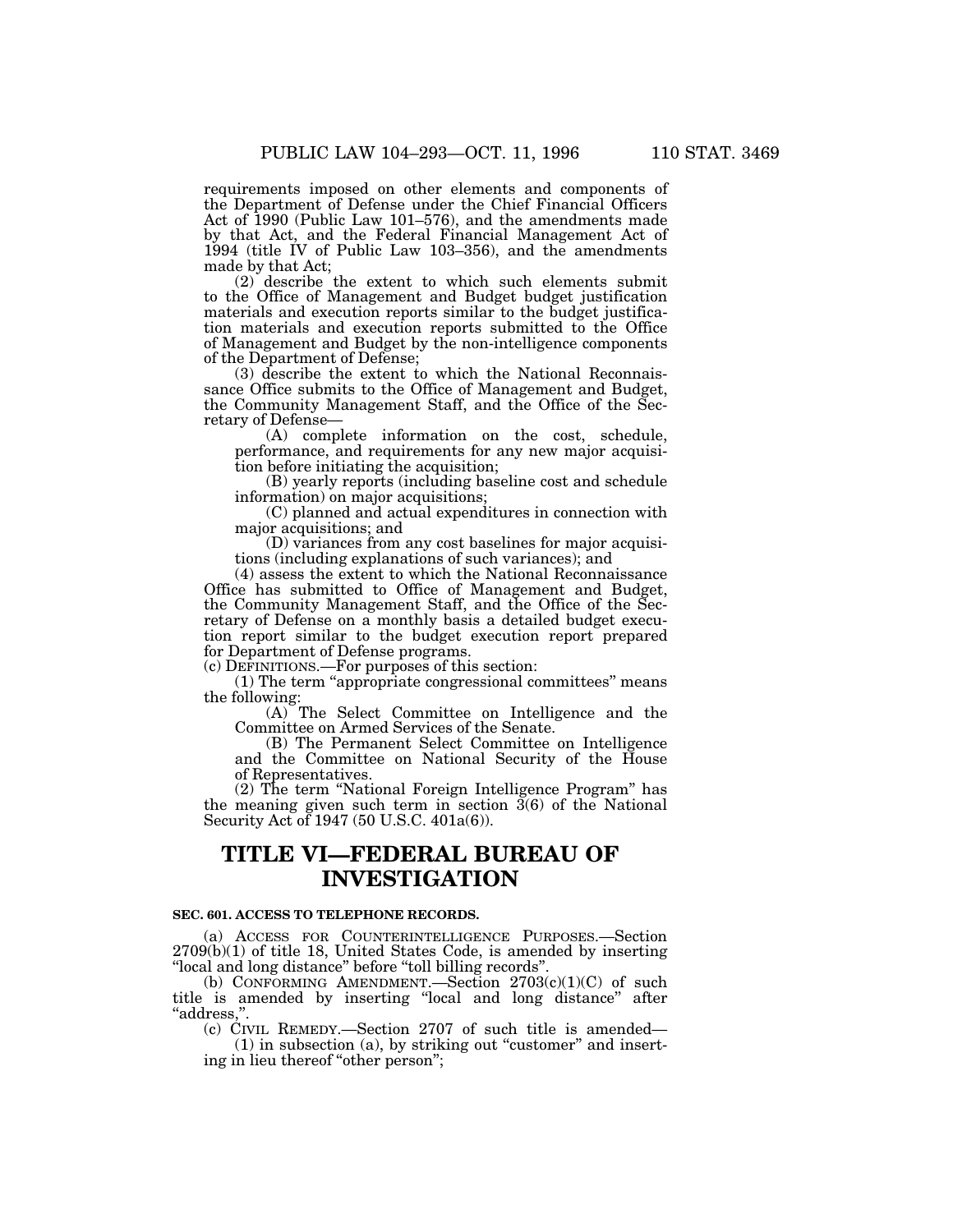requirements imposed on other elements and components of the Department of Defense under the Chief Financial Officers Act of 1990 (Public Law 101–576), and the amendments made by that Act, and the Federal Financial Management Act of 1994 (title IV of Public Law 103–356), and the amendments made by that Act;

(2) describe the extent to which such elements submit to the Office of Management and Budget budget justification materials and execution reports similar to the budget justification materials and execution reports submitted to the Office of Management and Budget by the non-intelligence components of the Department of Defense;

(3) describe the extent to which the National Reconnaissance Office submits to the Office of Management and Budget, the Community Management Staff, and the Office of the Secretary of Defense—

(A) complete information on the cost, schedule, performance, and requirements for any new major acquisition before initiating the acquisition;

(B) yearly reports (including baseline cost and schedule information) on major acquisitions;

(C) planned and actual expenditures in connection with major acquisitions; and

(D) variances from any cost baselines for major acquisitions (including explanations of such variances); and

(4) assess the extent to which the National Reconnaissance Office has submitted to Office of Management and Budget, the Community Management Staff, and the Office of the Secretary of Defense on a monthly basis a detailed budget execution report similar to the budget execution report prepared for Department of Defense programs.

(c) DEFINITIONS.—For purposes of this section:

(1) The term ''appropriate congressional committees'' means the following:

(A) The Select Committee on Intelligence and the Committee on Armed Services of the Senate.

(B) The Permanent Select Committee on Intelligence and the Committee on National Security of the House of Representatives.

(2) The term ''National Foreign Intelligence Program'' has the meaning given such term in section  $\tilde{3}(6)$  of the National Security Act of 1947 (50 U.S.C. 401a(6)).

# **TITLE VI—FEDERAL BUREAU OF INVESTIGATION**

## **SEC. 601. ACCESS TO TELEPHONE RECORDS.**

(a) ACCESS FOR COUNTERINTELLIGENCE PURPOSES.—Section 2709(b)(1) of title 18, United States Code, is amended by inserting ''local and long distance'' before ''toll billing records''.

(b) CONFORMING AMENDMENT.—Section  $2703(c)(1)(C)$  of such title is amended by inserting ''local and long distance'' after ''address,''.

(c) CIVIL REMEDY.—Section 2707 of such title is amended—

 $(1)$  in subsection  $(a)$ , by striking out "customer" and inserting in lieu thereof ''other person'';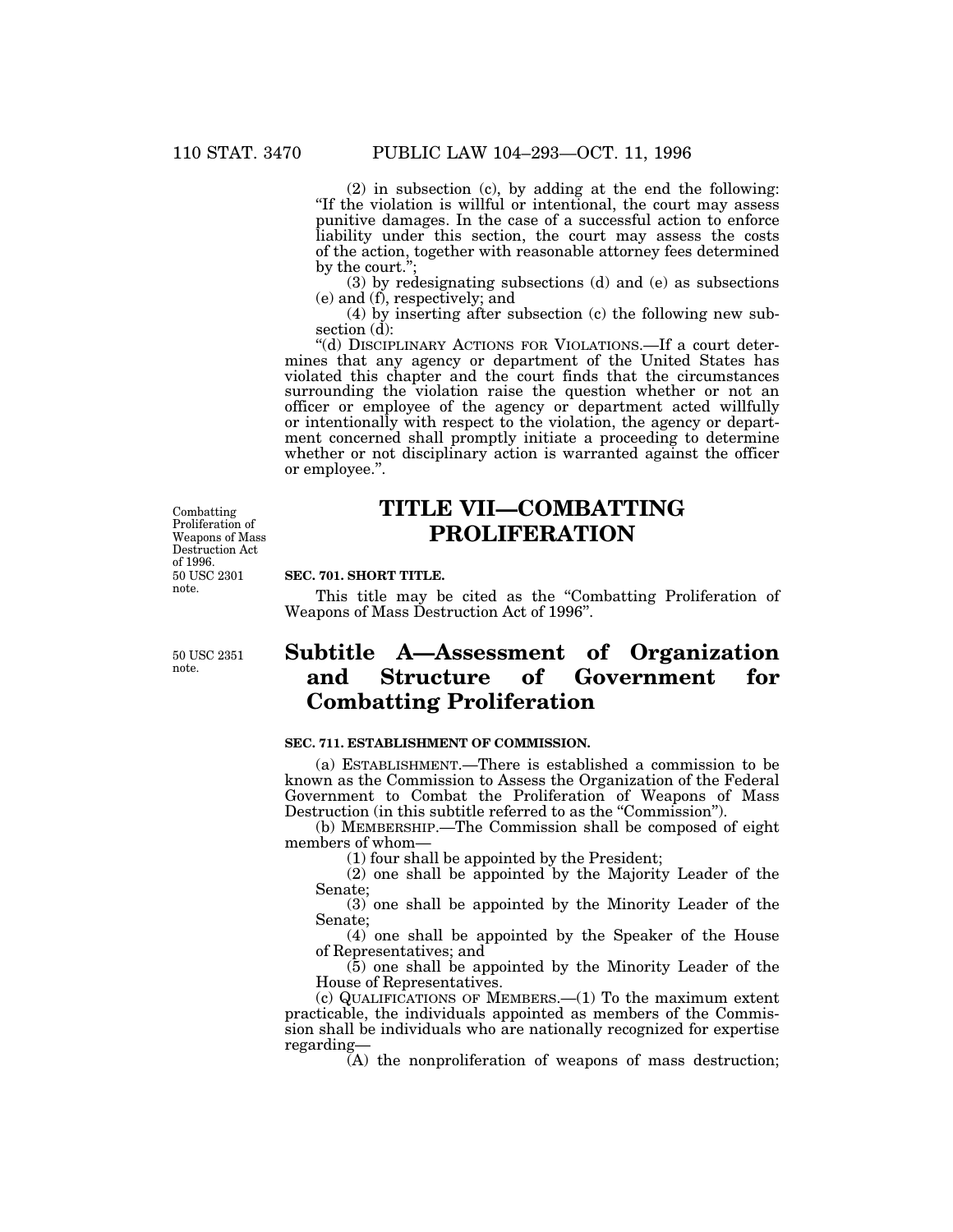(2) in subsection (c), by adding at the end the following: ''If the violation is willful or intentional, the court may assess punitive damages. In the case of a successful action to enforce liability under this section, the court may assess the costs of the action, together with reasonable attorney fees determined by the court.'';

(3) by redesignating subsections (d) and (e) as subsections (e) and (f), respectively; and

(4) by inserting after subsection (c) the following new subsection (d):

''(d) DISCIPLINARY ACTIONS FOR VIOLATIONS.—If a court determines that any agency or department of the United States has violated this chapter and the court finds that the circumstances surrounding the violation raise the question whether or not an officer or employee of the agency or department acted willfully or intentionally with respect to the violation, the agency or department concerned shall promptly initiate a proceeding to determine whether or not disciplinary action is warranted against the officer or employee.''.

50 USC 2301 note. Combatting Proliferation of Weapons of Mass Destruction Act of 1996.

## 50 USC 2351 note.

# **TITLE VII—COMBATTING PROLIFERATION**

# **SEC. 701. SHORT TITLE.**

This title may be cited as the "Combatting Proliferation of Weapons of Mass Destruction Act of 1996''.

# **Subtitle A—Assessment of Organization and Structure of Government for Combatting Proliferation**

## **SEC. 711. ESTABLISHMENT OF COMMISSION.**

(a) ESTABLISHMENT.—There is established a commission to be known as the Commission to Assess the Organization of the Federal Government to Combat the Proliferation of Weapons of Mass Destruction (in this subtitle referred to as the ''Commission'').

(b) MEMBERSHIP.—The Commission shall be composed of eight members of whom—

(1) four shall be appointed by the President;

(2) one shall be appointed by the Majority Leader of the Senate;

(3) one shall be appointed by the Minority Leader of the Senate;

(4) one shall be appointed by the Speaker of the House of Representatives; and

(5) one shall be appointed by the Minority Leader of the House of Representatives.

(c) QUALIFICATIONS OF MEMBERS.—(1) To the maximum extent practicable, the individuals appointed as members of the Commission shall be individuals who are nationally recognized for expertise regarding—

(A) the nonproliferation of weapons of mass destruction;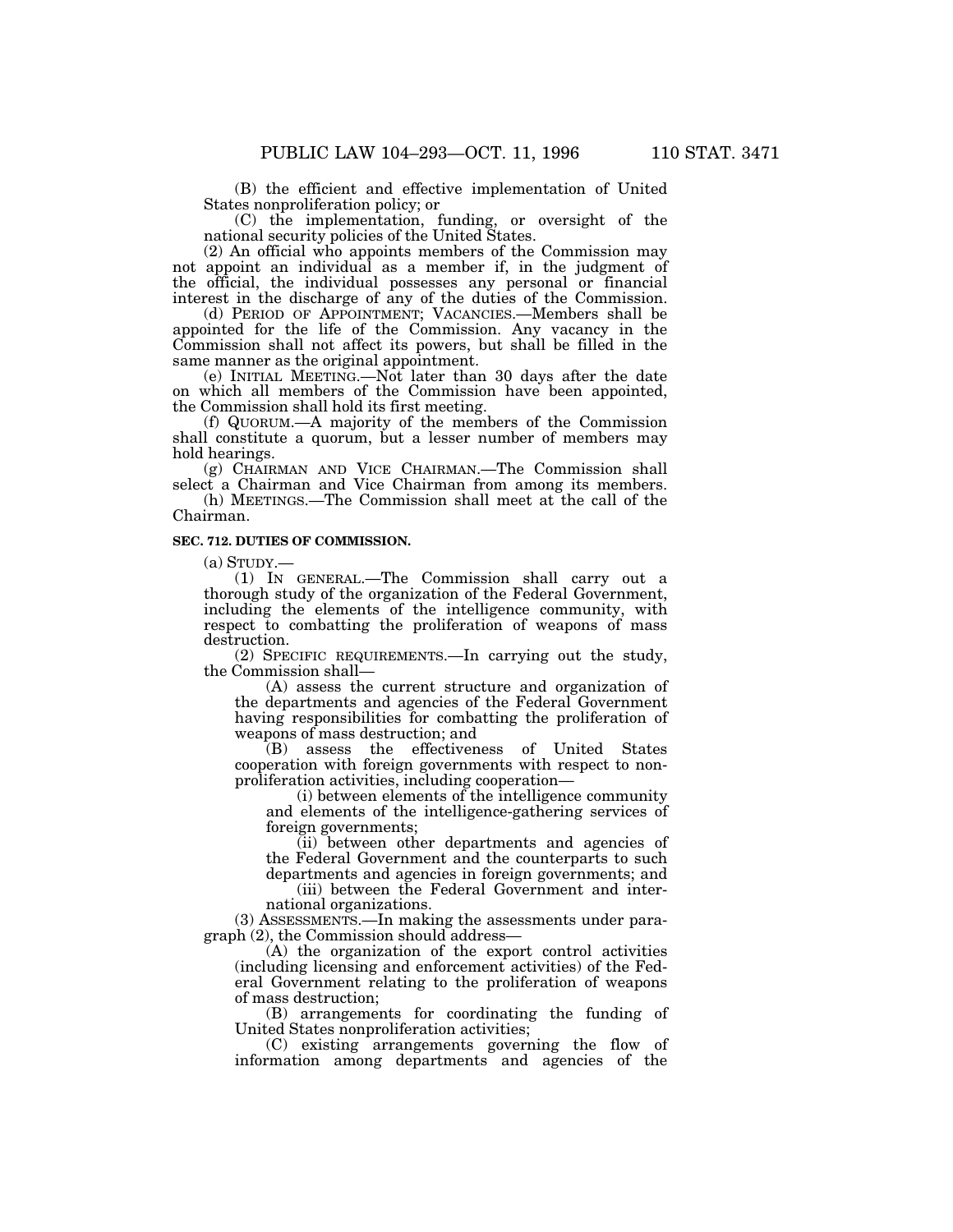(B) the efficient and effective implementation of United States nonproliferation policy; or

(C) the implementation, funding, or oversight of the national security policies of the United States.

(2) An official who appoints members of the Commission may not appoint an individual as a member if, in the judgment of the official, the individual possesses any personal or financial interest in the discharge of any of the duties of the Commission.

(d) PERIOD OF APPOINTMENT; VACANCIES.—Members shall be appointed for the life of the Commission. Any vacancy in the Commission shall not affect its powers, but shall be filled in the same manner as the original appointment.

(e) INITIAL MEETING.—Not later than 30 days after the date on which all members of the Commission have been appointed, the Commission shall hold its first meeting.

(f) QUORUM.—A majority of the members of the Commission shall constitute a quorum, but a lesser number of members may hold hearings.

(g) CHAIRMAN AND VICE CHAIRMAN.—The Commission shall select a Chairman and Vice Chairman from among its members.

(h) MEETINGS.—The Commission shall meet at the call of the Chairman.

## **SEC. 712. DUTIES OF COMMISSION.**

 $(a)$  STUDY. $-$ 

(1) IN GENERAL.—The Commission shall carry out a thorough study of the organization of the Federal Government, including the elements of the intelligence community, with respect to combatting the proliferation of weapons of mass destruction.

(2) SPECIFIC REQUIREMENTS.—In carrying out the study, the Commission shall—

(A) assess the current structure and organization of the departments and agencies of the Federal Government having responsibilities for combatting the proliferation of weapons of mass destruction; and

(B) assess the effectiveness of United States cooperation with foreign governments with respect to nonproliferation activities, including cooperation—

(i) between elements of the intelligence community and elements of the intelligence-gathering services of foreign governments;

(ii) between other departments and agencies of the Federal Government and the counterparts to such departments and agencies in foreign governments; and

(iii) between the Federal Government and international organizations.

(3) ASSESSMENTS.—In making the assessments under paragraph (2), the Commission should address—

(A) the organization of the export control activities (including licensing and enforcement activities) of the Federal Government relating to the proliferation of weapons of mass destruction;

(B) arrangements for coordinating the funding of United States nonproliferation activities;

(C) existing arrangements governing the flow of information among departments and agencies of the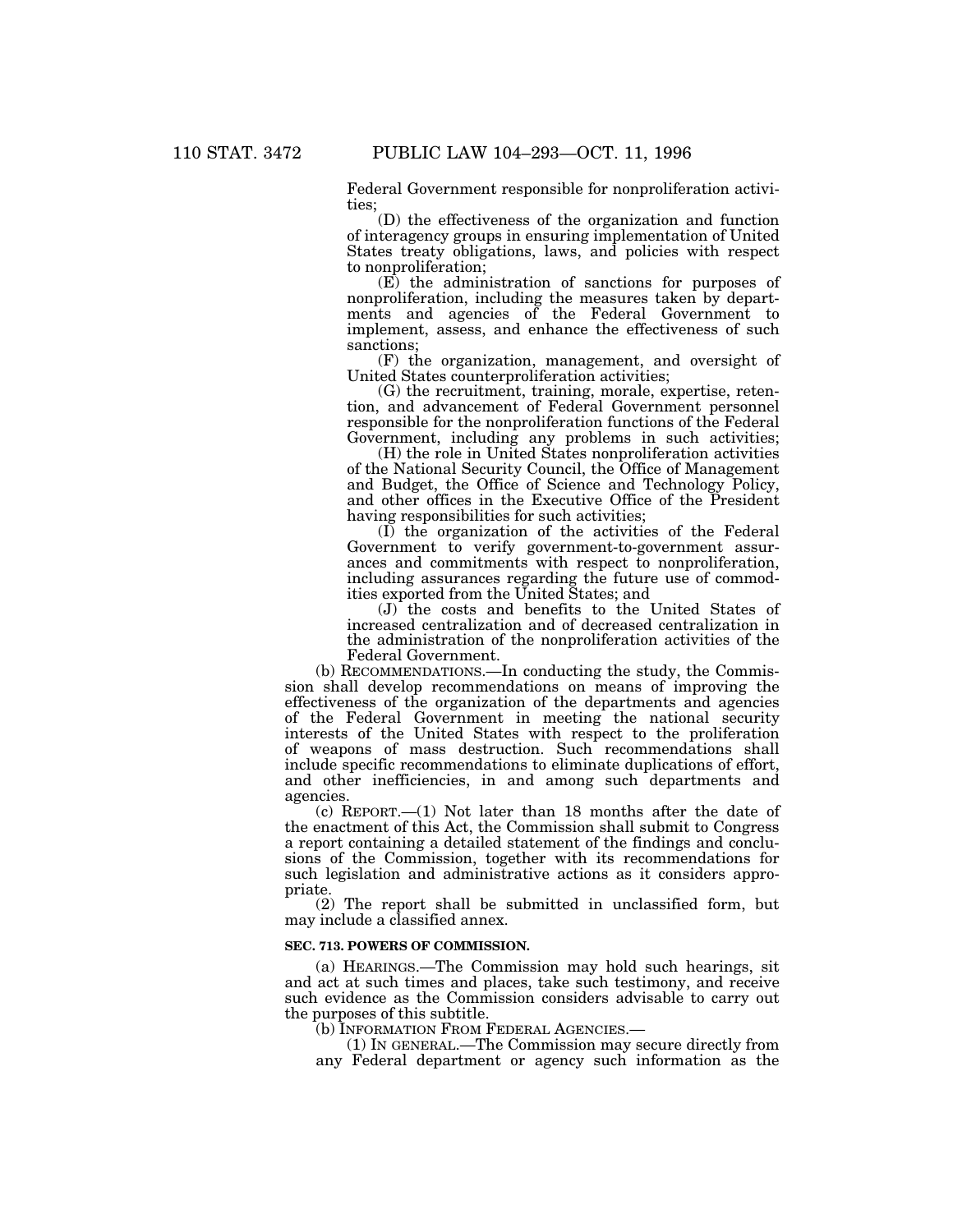Federal Government responsible for nonproliferation activities;

(D) the effectiveness of the organization and function of interagency groups in ensuring implementation of United States treaty obligations, laws, and policies with respect to nonproliferation;

(E) the administration of sanctions for purposes of nonproliferation, including the measures taken by departments and agencies of the Federal Government to implement, assess, and enhance the effectiveness of such sanctions;

(F) the organization, management, and oversight of United States counterproliferation activities;

(G) the recruitment, training, morale, expertise, retention, and advancement of Federal Government personnel responsible for the nonproliferation functions of the Federal Government, including any problems in such activities;

(H) the role in United States nonproliferation activities of the National Security Council, the Office of Management and Budget, the Office of Science and Technology Policy, and other offices in the Executive Office of the President having responsibilities for such activities;

(I) the organization of the activities of the Federal Government to verify government-to-government assurances and commitments with respect to nonproliferation, including assurances regarding the future use of commodities exported from the United States; and

(J) the costs and benefits to the United States of increased centralization and of decreased centralization in the administration of the nonproliferation activities of the Federal Government.

(b) RECOMMENDATIONS.—In conducting the study, the Commission shall develop recommendations on means of improving the effectiveness of the organization of the departments and agencies of the Federal Government in meeting the national security interests of the United States with respect to the proliferation of weapons of mass destruction. Such recommendations shall include specific recommendations to eliminate duplications of effort, and other inefficiencies, in and among such departments and agencies.

(c) REPORT.—(1) Not later than 18 months after the date of the enactment of this Act, the Commission shall submit to Congress a report containing a detailed statement of the findings and conclusions of the Commission, together with its recommendations for such legislation and administrative actions as it considers appropriate.

(2) The report shall be submitted in unclassified form, but may include a classified annex.

### **SEC. 713. POWERS OF COMMISSION.**

(a) HEARINGS.—The Commission may hold such hearings, sit and act at such times and places, take such testimony, and receive such evidence as the Commission considers advisable to carry out the purposes of this subtitle.

(b) INFORMATION FROM FEDERAL AGENCIES.—

(1) IN GENERAL.—The Commission may secure directly from any Federal department or agency such information as the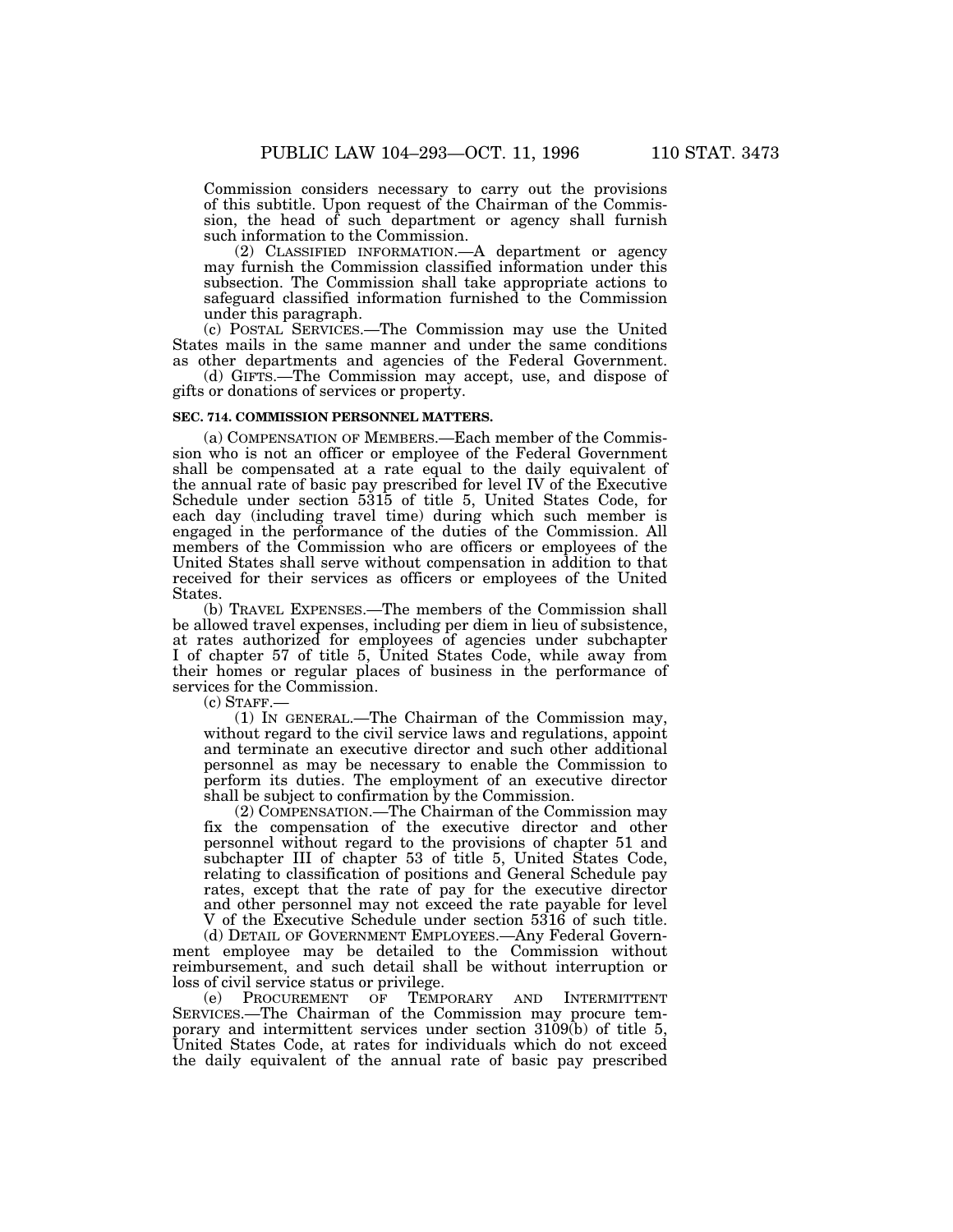Commission considers necessary to carry out the provisions of this subtitle. Upon request of the Chairman of the Commission, the head of such department or agency shall furnish such information to the Commission.

(2) CLASSIFIED INFORMATION.—A department or agency may furnish the Commission classified information under this subsection. The Commission shall take appropriate actions to safeguard classified information furnished to the Commission under this paragraph.

(c) POSTAL SERVICES.—The Commission may use the United States mails in the same manner and under the same conditions as other departments and agencies of the Federal Government.

(d) GIFTS.—The Commission may accept, use, and dispose of gifts or donations of services or property.

## **SEC. 714. COMMISSION PERSONNEL MATTERS.**

(a) COMPENSATION OF MEMBERS.—Each member of the Commission who is not an officer or employee of the Federal Government shall be compensated at a rate equal to the daily equivalent of the annual rate of basic pay prescribed for level IV of the Executive Schedule under section 5315 of title 5, United States Code, for each day (including travel time) during which such member is engaged in the performance of the duties of the Commission. All members of the Commission who are officers or employees of the United States shall serve without compensation in addition to that received for their services as officers or employees of the United States.

(b) TRAVEL EXPENSES.—The members of the Commission shall be allowed travel expenses, including per diem in lieu of subsistence, at rates authorized for employees of agencies under subchapter I of chapter 57 of title 5, United States Code, while away from their homes or regular places of business in the performance of services for the Commission.

 $(c)$  STAFF.

(1) IN GENERAL.—The Chairman of the Commission may, without regard to the civil service laws and regulations, appoint and terminate an executive director and such other additional personnel as may be necessary to enable the Commission to perform its duties. The employment of an executive director shall be subject to confirmation by the Commission.

(2) COMPENSATION.—The Chairman of the Commission may fix the compensation of the executive director and other personnel without regard to the provisions of chapter 51 and subchapter III of chapter 53 of title 5, United States Code, relating to classification of positions and General Schedule pay rates, except that the rate of pay for the executive director and other personnel may not exceed the rate payable for level V of the Executive Schedule under section 5316 of such title.

(d) DETAIL OF GOVERNMENT EMPLOYEES.—Any Federal Government employee may be detailed to the Commission without reimbursement, and such detail shall be without interruption or loss of civil service status or privilege.

(e) PROCUREMENT OF TEMPORARY AND INTERMITTENT SERVICES.—The Chairman of the Commission may procure temporary and intermittent services under section 3109(b) of title 5, United States Code, at rates for individuals which do not exceed the daily equivalent of the annual rate of basic pay prescribed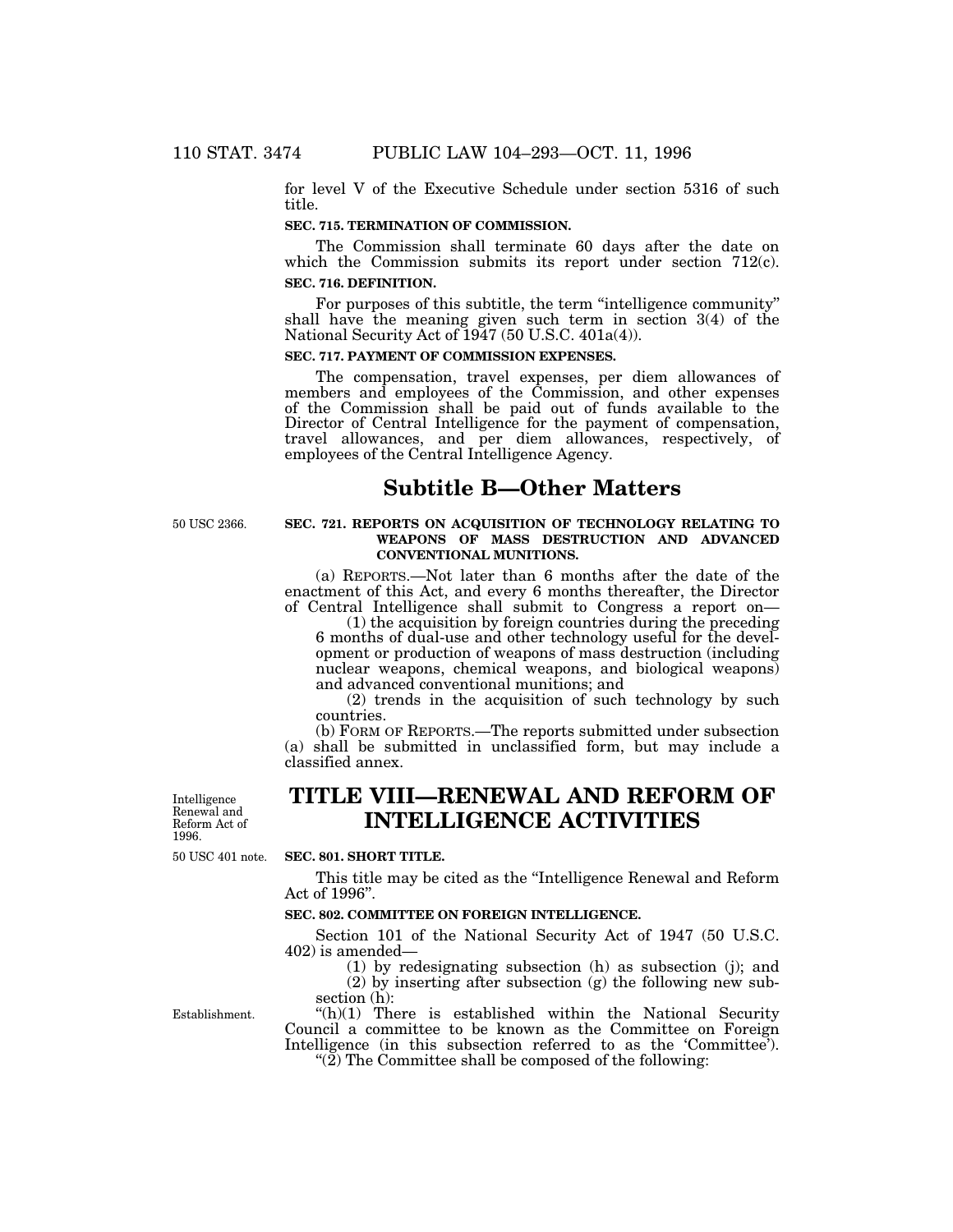for level V of the Executive Schedule under section 5316 of such title.

## **SEC. 715. TERMINATION OF COMMISSION.**

The Commission shall terminate 60 days after the date on which the Commission submits its report under section 712(c). **SEC. 716. DEFINITION.**

For purposes of this subtitle, the term "intelligence community" shall have the meaning given such term in section 3(4) of the National Security Act of 1947 (50 U.S.C. 401a(4)).

## **SEC. 717. PAYMENT OF COMMISSION EXPENSES.**

The compensation, travel expenses, per diem allowances of members and employees of the Commission, and other expenses of the Commission shall be paid out of funds available to the Director of Central Intelligence for the payment of compensation, travel allowances, and per diem allowances, respectively, of employees of the Central Intelligence Agency.

# **Subtitle B—Other Matters**

50 USC 2366.

## **SEC. 721. REPORTS ON ACQUISITION OF TECHNOLOGY RELATING TO WEAPONS OF MASS DESTRUCTION AND ADVANCED CONVENTIONAL MUNITIONS.**

(a) REPORTS.—Not later than 6 months after the date of the enactment of this Act, and every 6 months thereafter, the Director of Central Intelligence shall submit to Congress a report on—

(1) the acquisition by foreign countries during the preceding 6 months of dual-use and other technology useful for the development or production of weapons of mass destruction (including nuclear weapons, chemical weapons, and biological weapons) and advanced conventional munitions; and

(2) trends in the acquisition of such technology by such countries.

(b) FORM OF REPORTS.—The reports submitted under subsection (a) shall be submitted in unclassified form, but may include a classified annex.

Intelligence Renewal and Reform Act of 1996.

# **TITLE VIII—RENEWAL AND REFORM OF INTELLIGENCE ACTIVITIES**

50 USC 401 note.

# **SEC. 801. SHORT TITLE.**

This title may be cited as the ''Intelligence Renewal and Reform Act of 1996''.

## **SEC. 802. COMMITTEE ON FOREIGN INTELLIGENCE.**

Section 101 of the National Security Act of 1947 (50 U.S.C. 402) is amended—

(1) by redesignating subsection (h) as subsection (j); and (2) by inserting after subsection (g) the following new subsection (h):

Establishment.

 $(h)(1)$  There is established within the National Security Council a committee to be known as the Committee on Foreign Intelligence (in this subsection referred to as the 'Committee'). " $(2)$  The Committee shall be composed of the following: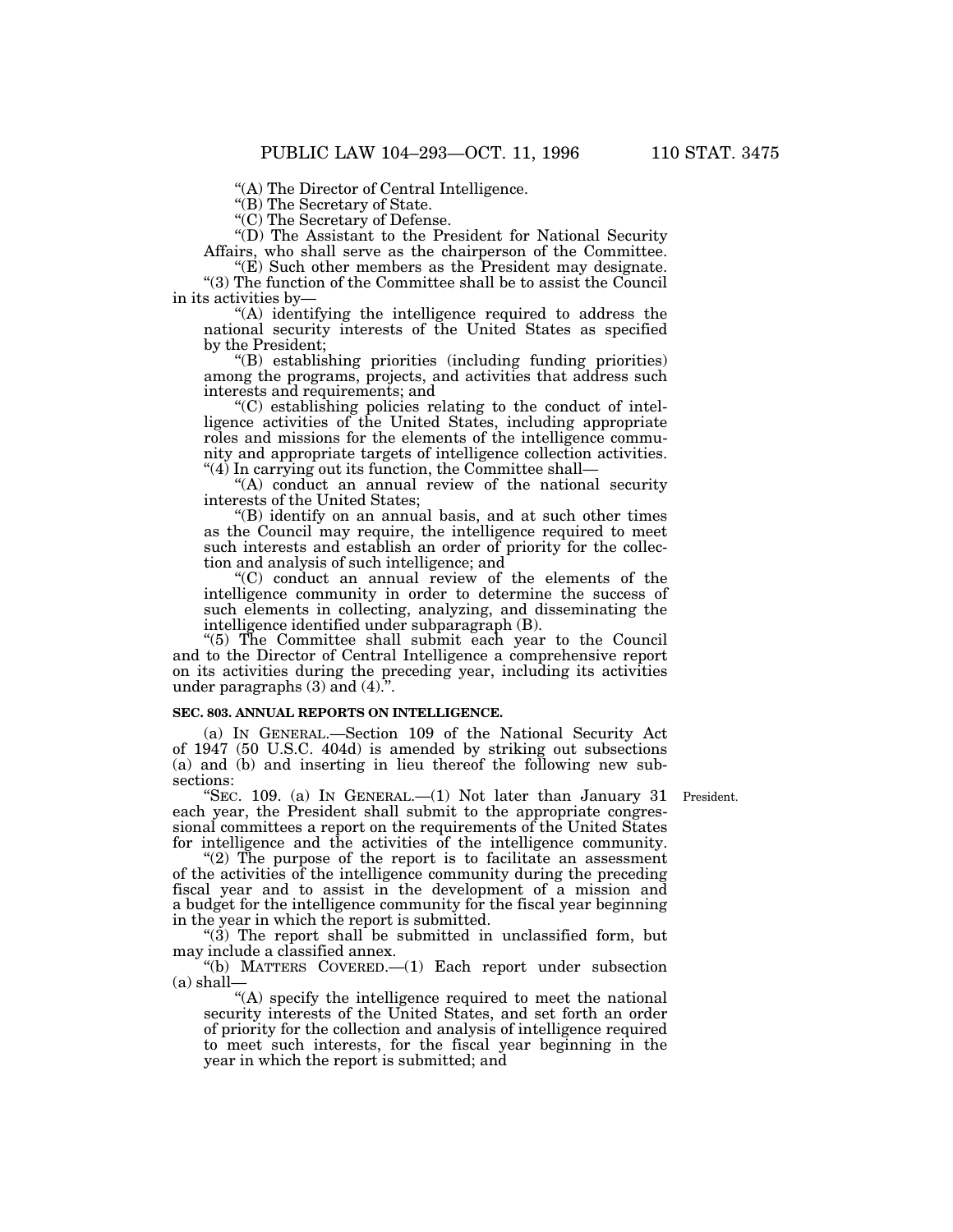''(A) The Director of Central Intelligence.

"(B) The Secretary of State.

"(C) The Secretary of Defense.

''(D) The Assistant to the President for National Security Affairs, who shall serve as the chairperson of the Committee.

 $E(E)$  Such other members as the President may designate. ''(3) The function of the Committee shall be to assist the Council in its activities by—

''(A) identifying the intelligence required to address the national security interests of the United States as specified by the President;

''(B) establishing priorities (including funding priorities) among the programs, projects, and activities that address such interests and requirements; and

''(C) establishing policies relating to the conduct of intelligence activities of the United States, including appropriate roles and missions for the elements of the intelligence community and appropriate targets of intelligence collection activities. ''(4) In carrying out its function, the Committee shall—

''(A) conduct an annual review of the national security interests of the United States;

''(B) identify on an annual basis, and at such other times as the Council may require, the intelligence required to meet such interests and establish an order of priority for the collection and analysis of such intelligence; and

''(C) conduct an annual review of the elements of the intelligence community in order to determine the success of such elements in collecting, analyzing, and disseminating the intelligence identified under subparagraph (B).

''(5) The Committee shall submit each year to the Council and to the Director of Central Intelligence a comprehensive report on its activities during the preceding year, including its activities under paragraphs  $(3)$  and  $(4)$ .

## **SEC. 803. ANNUAL REPORTS ON INTELLIGENCE.**

(a) IN GENERAL.—Section 109 of the National Security Act of 1947 (50 U.S.C. 404d) is amended by striking out subsections (a) and (b) and inserting in lieu thereof the following new subsections:

"SEC. 109. (a) IN GENERAL.—(1) Not later than January 31 President. each year, the President shall submit to the appropriate congressional committees a report on the requirements of the United States for intelligence and the activities of the intelligence community.

"(2) The purpose of the report is to facilitate an assessment of the activities of the intelligence community during the preceding fiscal year and to assist in the development of a mission and a budget for the intelligence community for the fiscal year beginning in the year in which the report is submitted.

 $(3)$  The report shall be submitted in unclassified form, but may include a classified annex.

''(b) MATTERS COVERED.—(1) Each report under subsection  $(a)$  shall-

"(A) specify the intelligence required to meet the national security interests of the United States, and set forth an order of priority for the collection and analysis of intelligence required to meet such interests, for the fiscal year beginning in the year in which the report is submitted; and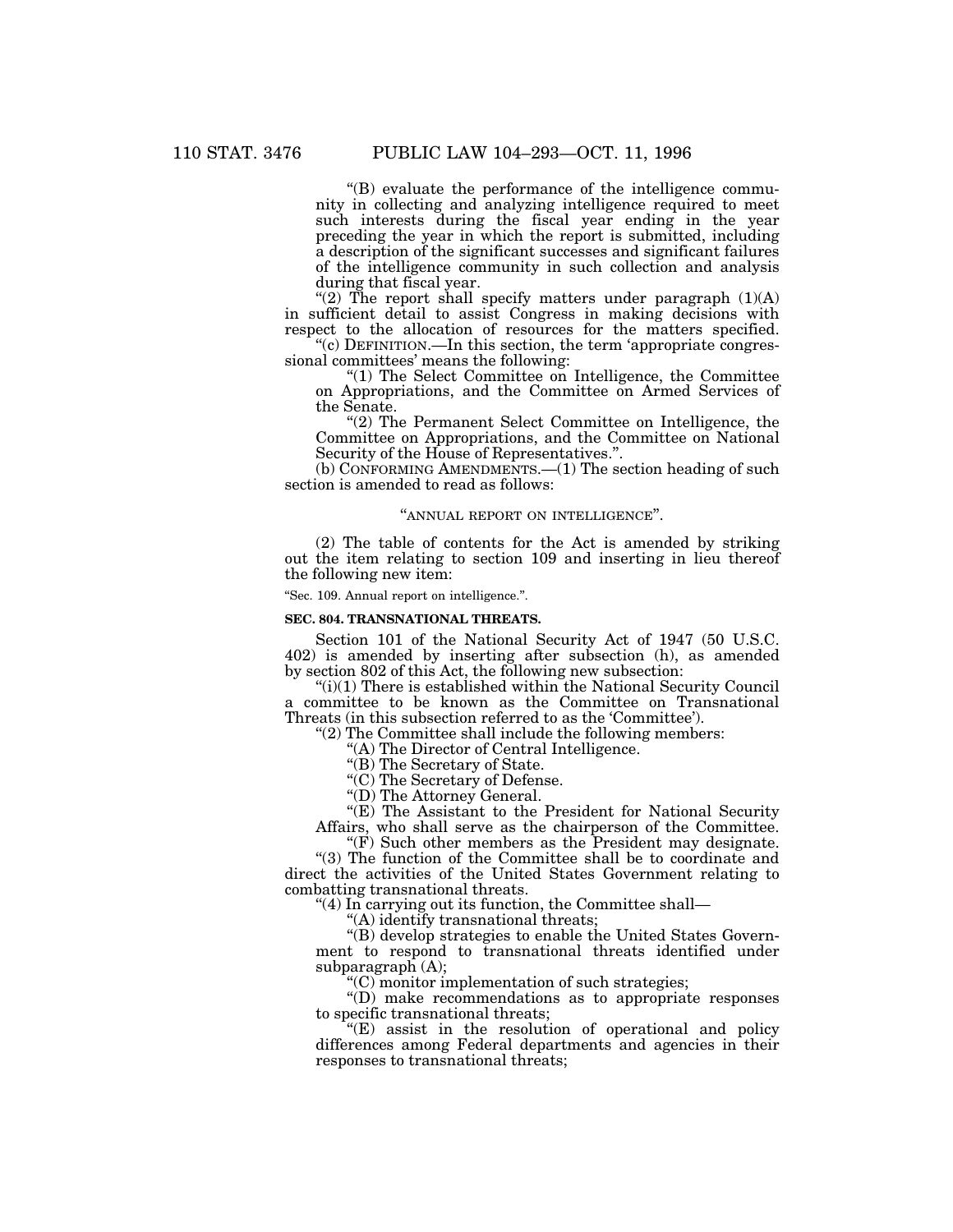''(B) evaluate the performance of the intelligence community in collecting and analyzing intelligence required to meet such interests during the fiscal year ending in the year preceding the year in which the report is submitted, including a description of the significant successes and significant failures of the intelligence community in such collection and analysis during that fiscal year.

"(2) The report shall specify matters under paragraph  $(1)(A)$ in sufficient detail to assist Congress in making decisions with respect to the allocation of resources for the matters specified.

 $\mathcal{C}(c)$  DEFINITION.—In this section, the term 'appropriate congressional committees' means the following:

''(1) The Select Committee on Intelligence, the Committee on Appropriations, and the Committee on Armed Services of the Senate.

''(2) The Permanent Select Committee on Intelligence, the Committee on Appropriations, and the Committee on National Security of the House of Representatives.".

(b) CONFORMING AMENDMENTS.—(1) The section heading of such section is amended to read as follows:

## "ANNUAL REPORT ON INTELLIGENCE".

(2) The table of contents for the Act is amended by striking out the item relating to section 109 and inserting in lieu thereof the following new item:

''Sec. 109. Annual report on intelligence.''.

#### **SEC. 804. TRANSNATIONAL THREATS.**

Section 101 of the National Security Act of 1947 (50 U.S.C. 402) is amended by inserting after subsection (h), as amended by section 802 of this Act, the following new subsection:

 $(ii)(1)$  There is established within the National Security Council a committee to be known as the Committee on Transnational Threats (in this subsection referred to as the 'Committee').

''(2) The Committee shall include the following members:

''(A) The Director of Central Intelligence.

"(B) The Secretary of State.

''(C) The Secretary of Defense.

''(D) The Attorney General.

"(E) The Assistant to the President for National Security Affairs, who shall serve as the chairperson of the Committee.

" $(F)$  Such other members as the President may designate.

''(3) The function of the Committee shall be to coordinate and direct the activities of the United States Government relating to combatting transnational threats.

''(4) In carrying out its function, the Committee shall—

''(A) identify transnational threats;

''(B) develop strategies to enable the United States Government to respond to transnational threats identified under subparagraph (A);

''(C) monitor implementation of such strategies;

''(D) make recommendations as to appropriate responses to specific transnational threats;

''(E) assist in the resolution of operational and policy differences among Federal departments and agencies in their responses to transnational threats;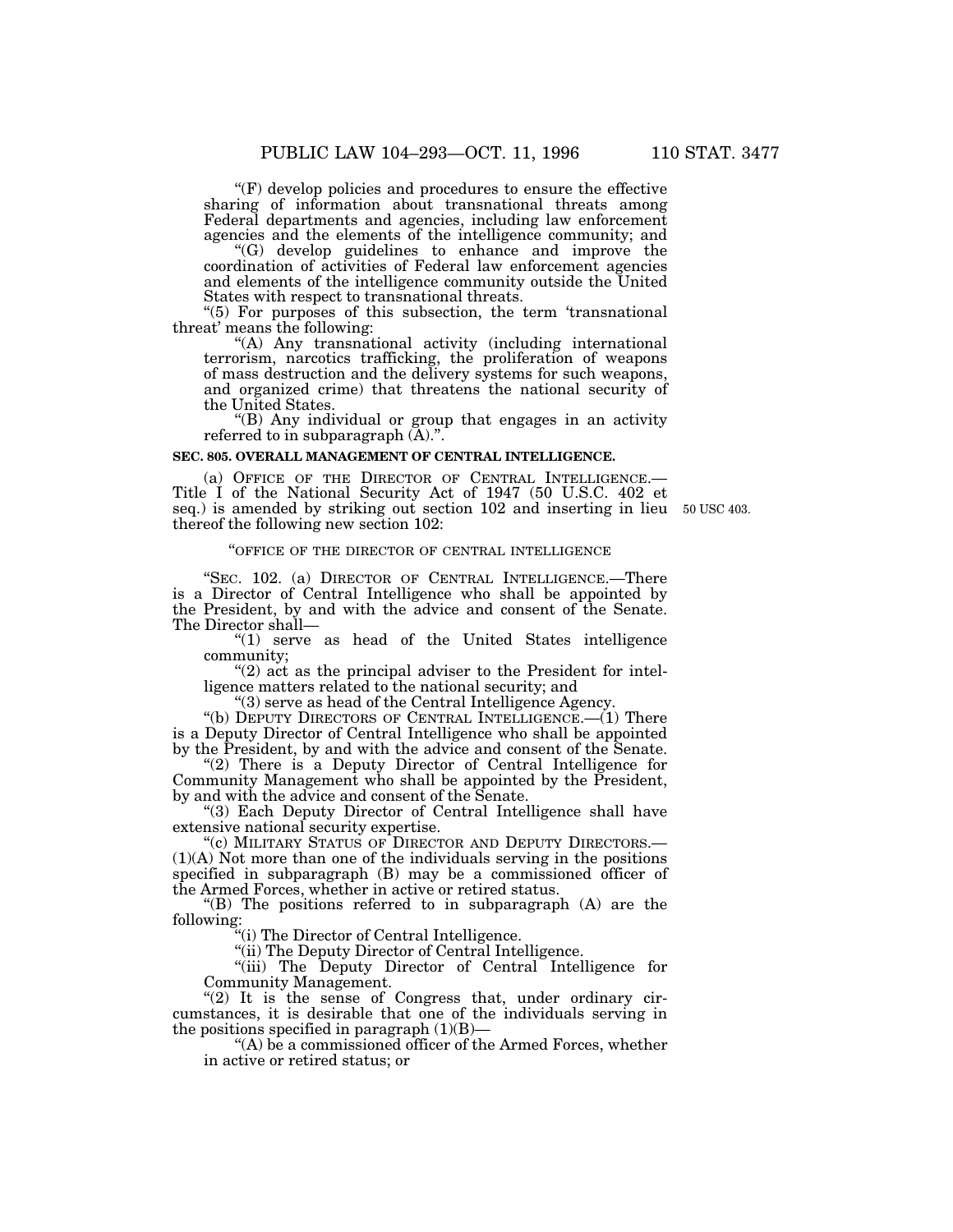''(F) develop policies and procedures to ensure the effective sharing of information about transnational threats among Federal departments and agencies, including law enforcement agencies and the elements of the intelligence community; and

''(G) develop guidelines to enhance and improve the coordination of activities of Federal law enforcement agencies and elements of the intelligence community outside the United States with respect to transnational threats.

"(5) For purposes of this subsection, the term 'transnational threat' means the following:

''(A) Any transnational activity (including international terrorism, narcotics trafficking, the proliferation of weapons of mass destruction and the delivery systems for such weapons, and organized crime) that threatens the national security of the United States.

''(B) Any individual or group that engages in an activity referred to in subparagraph  $(\overline{A})$ .".

## **SEC. 805. OVERALL MANAGEMENT OF CENTRAL INTELLIGENCE.**

(a) OFFICE OF THE DIRECTOR OF CENTRAL INTELLIGENCE.— Title I of the National Security Act of 1947 (50 U.S.C. 402 et seq.) is amended by striking out section 102 and inserting in lieu 50 USC 403.thereof the following new section 102:

### ''OFFICE OF THE DIRECTOR OF CENTRAL INTELLIGENCE

"SEC. 102. (a) DIRECTOR OF CENTRAL INTELLIGENCE.—There is a Director of Central Intelligence who shall be appointed by the President, by and with the advice and consent of the Senate. The Director shall—

" $(1)$  serve as head of the United States intelligence community;

"(2) act as the principal adviser to the President for intelligence matters related to the national security; and

''(3) serve as head of the Central Intelligence Agency.

"(b) DEPUTY DIRECTORS OF CENTRAL INTELLIGENCE.— $(1)$  There is a Deputy Director of Central Intelligence who shall be appointed by the President, by and with the advice and consent of the Senate.

"(2) There is a Deputy Director of Central Intelligence for Community Management who shall be appointed by the President, by and with the advice and consent of the Senate.

"(3) Each Deputy Director of Central Intelligence shall have extensive national security expertise.

''(c) MILITARY STATUS OF DIRECTOR AND DEPUTY DIRECTORS.— (1)(A) Not more than one of the individuals serving in the positions specified in subparagraph (B) may be a commissioned officer of the Armed Forces, whether in active or retired status.

 $f(B)$  The positions referred to in subparagraph  $(A)$  are the following:

''(i) The Director of Central Intelligence.

''(ii) The Deputy Director of Central Intelligence.

''(iii) The Deputy Director of Central Intelligence for Community Management.

" $(2)$  It is the sense of Congress that, under ordinary circumstances, it is desirable that one of the individuals serving in the positions specified in paragraph  $(1)(B)$ —

''(A) be a commissioned officer of the Armed Forces, whether in active or retired status; or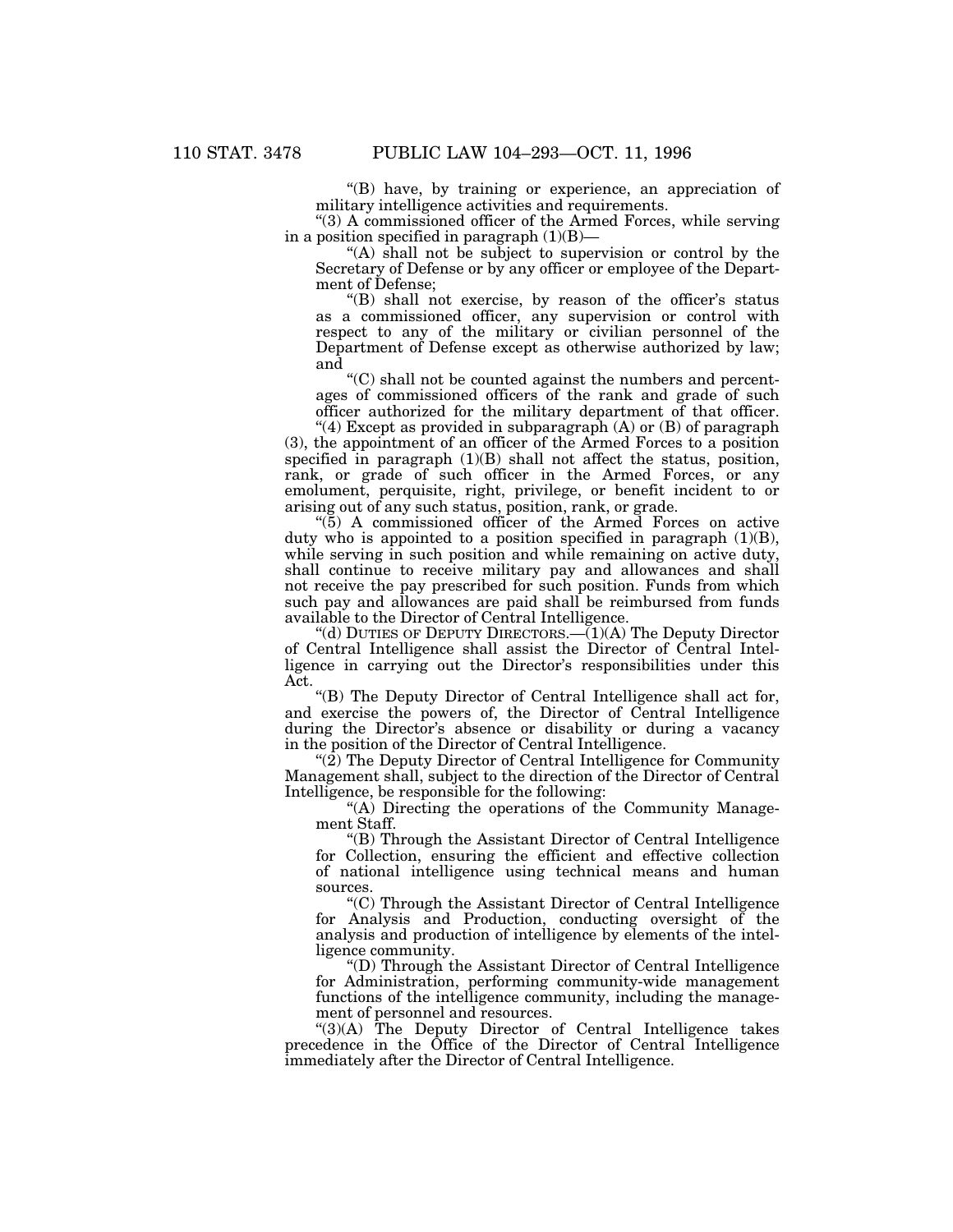''(B) have, by training or experience, an appreciation of military intelligence activities and requirements.

''(3) A commissioned officer of the Armed Forces, while serving in a position specified in paragraph  $(1)(B)$ —

''(A) shall not be subject to supervision or control by the Secretary of Defense or by any officer or employee of the Department of Defense;

"(B) shall not exercise, by reason of the officer's status as a commissioned officer, any supervision or control with respect to any of the military or civilian personnel of the Department of Defense except as otherwise authorized by law; and

 $C$ ) shall not be counted against the numbers and percentages of commissioned officers of the rank and grade of such officer authorized for the military department of that officer.

"(4) Except as provided in subparagraph  $(A)$  or  $(B)$  of paragraph (3), the appointment of an officer of the Armed Forces to a position specified in paragraph (1)(B) shall not affect the status, position, rank, or grade of such officer in the Armed Forces, or any emolument, perquisite, right, privilege, or benefit incident to or arising out of any such status, position, rank, or grade.

 $\mathcal{L}(5)$  A commissioned officer of the Armed Forces on active duty who is appointed to a position specified in paragraph (1)(B), while serving in such position and while remaining on active duty, shall continue to receive military pay and allowances and shall not receive the pay prescribed for such position. Funds from which such pay and allowances are paid shall be reimbursed from funds available to the Director of Central Intelligence.

"(d) DUTIES OF DEPUTY DIRECTORS.— $(1)(A)$  The Deputy Director of Central Intelligence shall assist the Director of Central Intelligence in carrying out the Director's responsibilities under this Act.

''(B) The Deputy Director of Central Intelligence shall act for, and exercise the powers of, the Director of Central Intelligence during the Director's absence or disability or during a vacancy in the position of the Director of Central Intelligence.

" $(2)$  The Deputy Director of Central Intelligence for Community Management shall, subject to the direction of the Director of Central Intelligence, be responsible for the following:

''(A) Directing the operations of the Community Management Staff.

''(B) Through the Assistant Director of Central Intelligence for Collection, ensuring the efficient and effective collection of national intelligence using technical means and human sources.

''(C) Through the Assistant Director of Central Intelligence for Analysis and Production, conducting oversight of the analysis and production of intelligence by elements of the intelligence community.

''(D) Through the Assistant Director of Central Intelligence for Administration, performing community-wide management functions of the intelligence community, including the management of personnel and resources.

"(3)(A) The Deputy Director of Central Intelligence takes precedence in the Office of the Director of Central Intelligence immediately after the Director of Central Intelligence.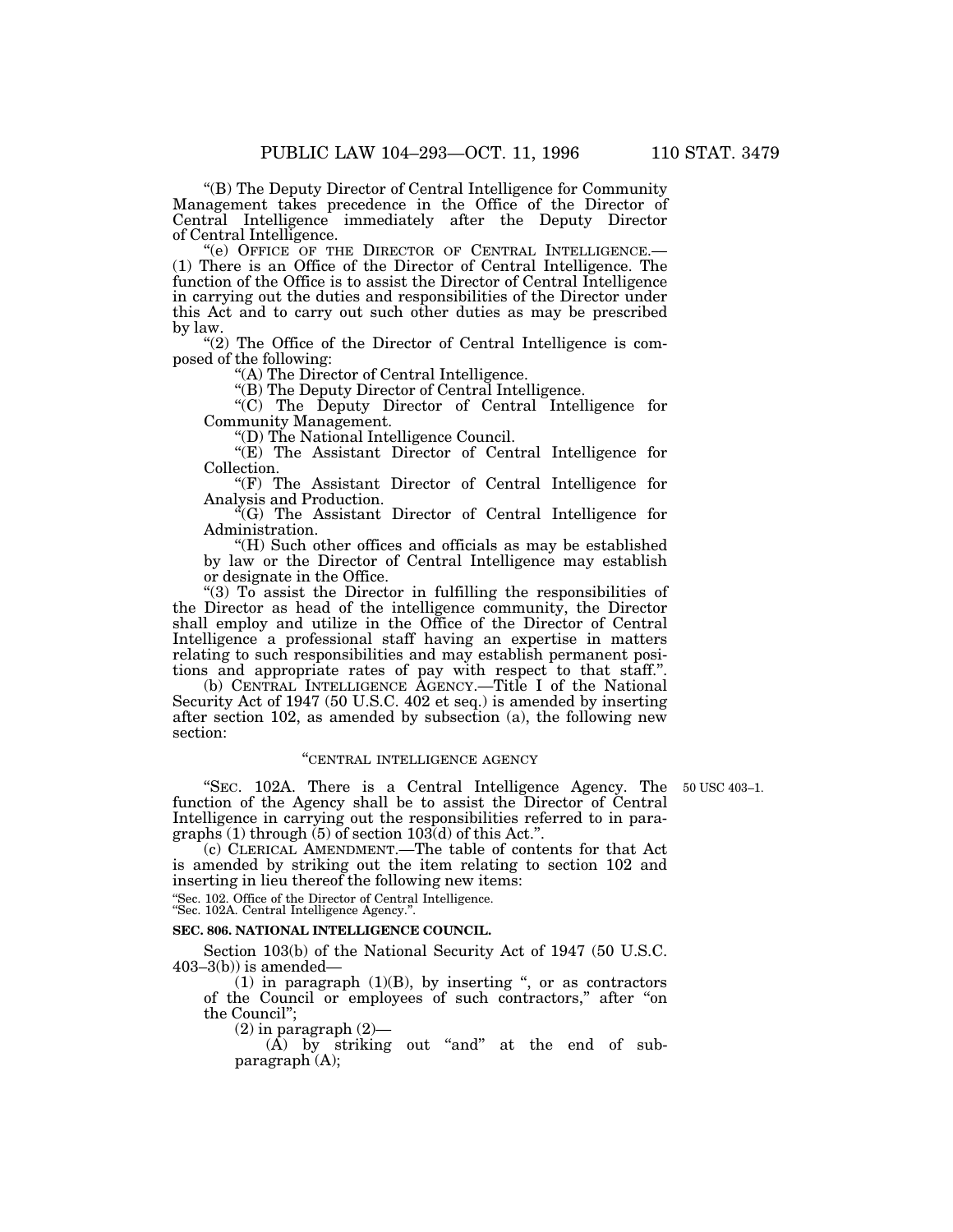''(B) The Deputy Director of Central Intelligence for Community Management takes precedence in the Office of the Director of Central Intelligence immediately after the Deputy Director of Central Intelligence.<br>
"(e) OFFICE OF THE DIRECTOR OF CENTRAL INTELLIGENCE.—

 $(1)$  There is an Office of the Director of Central Intelligence. The function of the Office is to assist the Director of Central Intelligence in carrying out the duties and responsibilities of the Director under this Act and to carry out such other duties as may be prescribed by law.

"(2) The Office of the Director of Central Intelligence is composed of the following:

''(A) The Director of Central Intelligence.

''(B) The Deputy Director of Central Intelligence.

''(C) The Deputy Director of Central Intelligence for Community Management.

''(D) The National Intelligence Council.

''(E) The Assistant Director of Central Intelligence for Collection.

''(F) The Assistant Director of Central Intelligence for Analysis and Production.

 ${}^{\alpha}$ (G) The Assistant Director of Central Intelligence for Administration.

''(H) Such other offices and officials as may be established by law or the Director of Central Intelligence may establish or designate in the Office.

"(3)  $\overline{0}$  assist the Director in fulfilling the responsibilities of the Director as head of the intelligence community, the Director shall employ and utilize in the Office of the Director of Central Intelligence a professional staff having an expertise in matters relating to such responsibilities and may establish permanent positions and appropriate rates of pay with respect to that staff.''.

(b) CENTRAL INTELLIGENCE AGENCY.—Title I of the National Security Act of 1947 (50 U.S.C. 402 et seq.) is amended by inserting after section 102, as amended by subsection (a), the following new section:

## ''CENTRAL INTELLIGENCE AGENCY

"SEC. 102A. There is a Central Intelligence Agency. The 50 USC 403-1. function of the Agency shall be to assist the Director of Central Intelligence in carrying out the responsibilities referred to in paragraphs  $(1)$  through  $(5)$  of section  $103(d)$  of this Act.".

(c) CLERICAL AMENDMENT.—The table of contents for that Act is amended by striking out the item relating to section 102 and inserting in lieu thereof the following new items:

''Sec. 102. Office of the Director of Central Intelligence.

''Sec. 102A. Central Intelligence Agency.''.

## **SEC. 806. NATIONAL INTELLIGENCE COUNCIL.**

Section 103(b) of the National Security Act of 1947 (50 U.S.C.  $403-3(b)$ ) is amended-

(1) in paragraph  $(1)(B)$ , by inserting ", or as contractors of the Council or employees of such contractors,'' after ''on the Council'';

 $(2)$  in paragraph  $(2)$ —

 $(A)$  by striking out "and" at the end of subparagraph (A);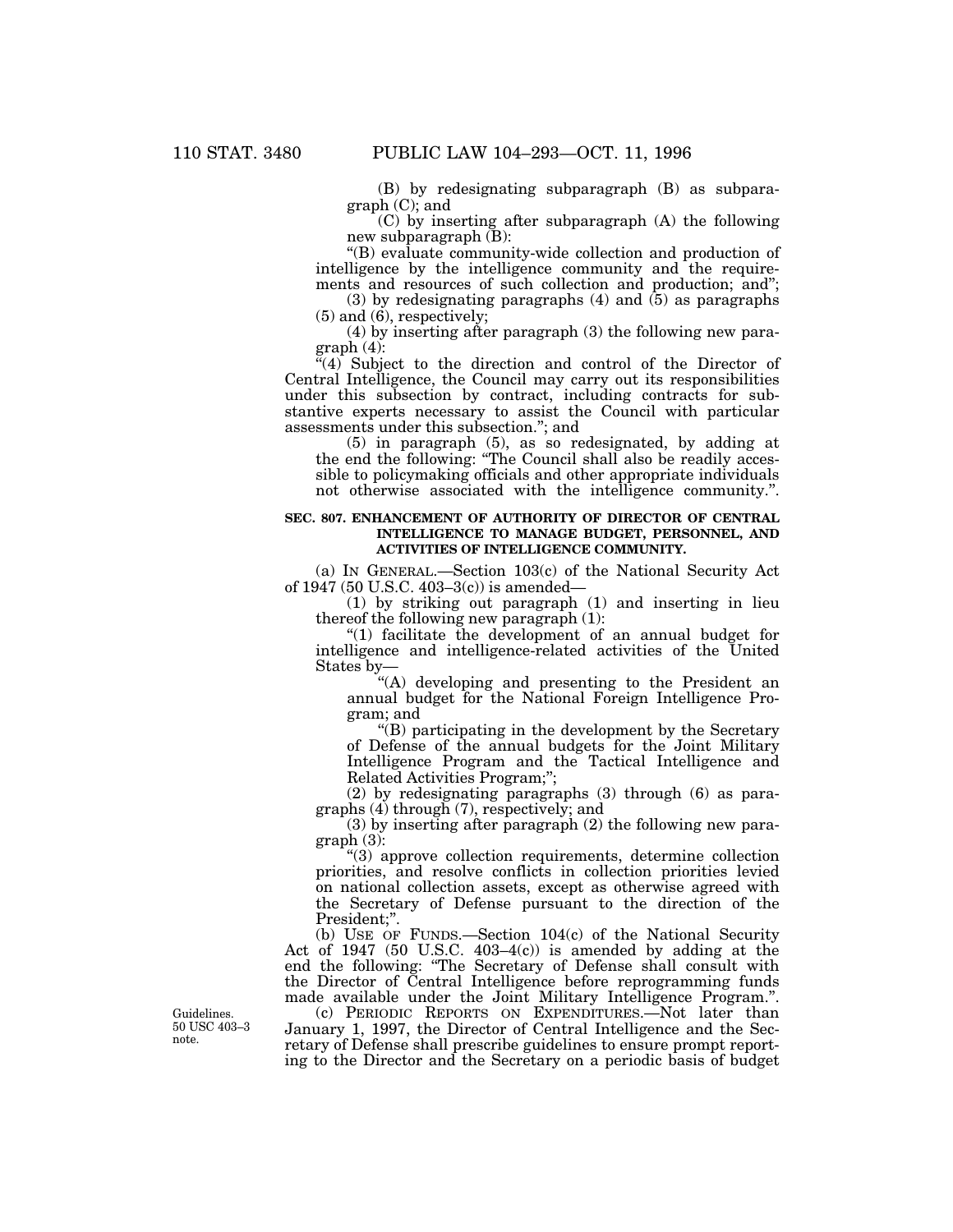(B) by redesignating subparagraph (B) as subparagraph (C); and

(C) by inserting after subparagraph (A) the following new subparagraph (B):

''(B) evaluate community-wide collection and production of intelligence by the intelligence community and the requirements and resources of such collection and production; and'';

 $(3)$  by redesignating paragraphs  $(4)$  and  $(5)$  as paragraphs  $(5)$  and  $(6)$ , respectively;

(4) by inserting after paragraph (3) the following new paragraph (4):

"(4) Subject to the direction and control of the Director of Central Intelligence, the Council may carry out its responsibilities under this subsection by contract, including contracts for substantive experts necessary to assist the Council with particular assessments under this subsection.''; and

(5) in paragraph (5), as so redesignated, by adding at the end the following: ''The Council shall also be readily accessible to policymaking officials and other appropriate individuals not otherwise associated with the intelligence community.''.

## **SEC. 807. ENHANCEMENT OF AUTHORITY OF DIRECTOR OF CENTRAL INTELLIGENCE TO MANAGE BUDGET, PERSONNEL, AND ACTIVITIES OF INTELLIGENCE COMMUNITY.**

(a) IN GENERAL.—Section 103(c) of the National Security Act of 1947 (50 U.S.C. 403–3(c)) is amended—

(1) by striking out paragraph (1) and inserting in lieu thereof the following new paragraph (1):

''(1) facilitate the development of an annual budget for intelligence and intelligence-related activities of the United States by—

"(A) developing and presenting to the President an annual budget for the National Foreign Intelligence Program; and

''(B) participating in the development by the Secretary of Defense of the annual budgets for the Joint Military Intelligence Program and the Tactical Intelligence and Related Activities Program;'';

(2) by redesignating paragraphs (3) through (6) as paragraphs (4) through (7), respectively; and

(3) by inserting after paragraph (2) the following new paragraph (3):

''(3) approve collection requirements, determine collection priorities, and resolve conflicts in collection priorities levied on national collection assets, except as otherwise agreed with the Secretary of Defense pursuant to the direction of the President;".

(b) USE OF FUNDS.—Section 104(c) of the National Security Act of 1947 (50 U.S.C. 403–4(c)) is amended by adding at the end the following: ''The Secretary of Defense shall consult with the Director of Central Intelligence before reprogramming funds made available under the Joint Military Intelligence Program.''.

(c) PERIODIC REPORTS ON EXPENDITURES.—Not later than January 1, 1997, the Director of Central Intelligence and the Secretary of Defense shall prescribe guidelines to ensure prompt reporting to the Director and the Secretary on a periodic basis of budget

Guidelines. 50 USC 403–3 note.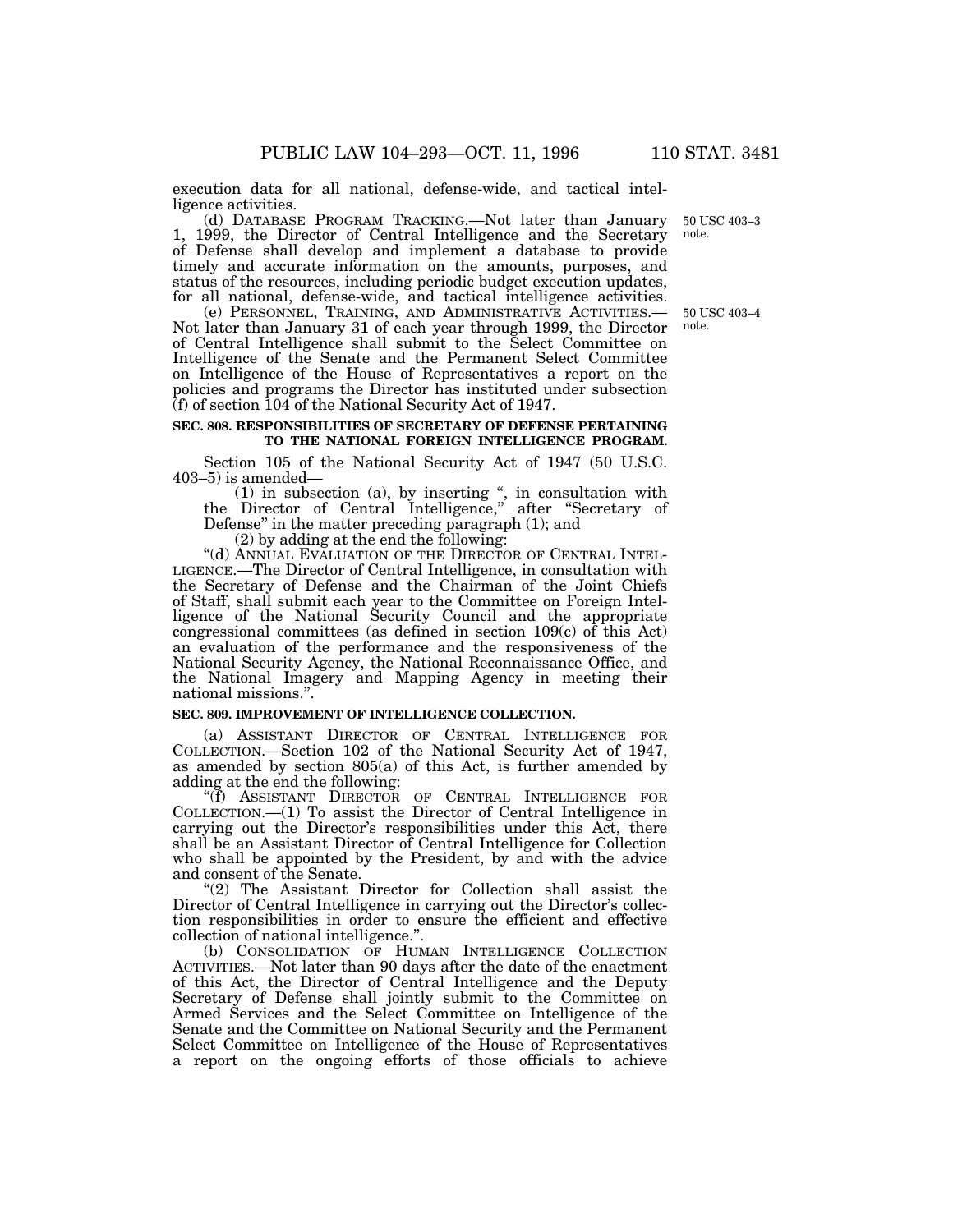execution data for all national, defense-wide, and tactical intelligence activities.

(d) DATABASE PROGRAM TRACKING.—Not later than January 1, 1999, the Director of Central Intelligence and the Secretary of Defense shall develop and implement a database to provide timely and accurate information on the amounts, purposes, and status of the resources, including periodic budget execution updates, for all national, defense-wide, and tactical intelligence activities.

(e) PERSONNEL, TRAINING, AND ADMINISTRATIVE ACTIVITIES.— Not later than January 31 of each year through 1999, the Director of Central Intelligence shall submit to the Select Committee on Intelligence of the Senate and the Permanent Select Committee on Intelligence of the House of Representatives a report on the policies and programs the Director has instituted under subsection (f) of section 104 of the National Security Act of 1947.

## **SEC. 808. RESPONSIBILITIES OF SECRETARY OF DEFENSE PERTAINING TO THE NATIONAL FOREIGN INTELLIGENCE PROGRAM.**

Section 105 of the National Security Act of 1947 (50 U.S.C. 403–5) is amended—

(1) in subsection (a), by inserting '', in consultation with the Director of Central Intelligence,'' after ''Secretary of Defense'' in the matter preceding paragraph (1); and

(2) by adding at the end the following:

''(d) ANNUAL EVALUATION OF THE DIRECTOR OF CENTRAL INTEL- LIGENCE.—The Director of Central Intelligence, in consultation with the Secretary of Defense and the Chairman of the Joint Chiefs of Staff, shall submit each year to the Committee on Foreign Intelligence of the National Security Council and the appropriate congressional committees (as defined in section 109(c) of this Act) an evaluation of the performance and the responsiveness of the National Security Agency, the National Reconnaissance Office, and the National Imagery and Mapping Agency in meeting their national missions.''.

## **SEC. 809. IMPROVEMENT OF INTELLIGENCE COLLECTION.**

(a) ASSISTANT DIRECTOR OF CENTRAL INTELLIGENCE FOR COLLECTION.—Section 102 of the National Security Act of 1947, as amended by section 805(a) of this Act, is further amended by adding at the end the following:

''(f) ASSISTANT DIRECTOR OF CENTRAL INTELLIGENCE FOR COLLECTION.—(1) To assist the Director of Central Intelligence in carrying out the Director's responsibilities under this Act, there shall be an Assistant Director of Central Intelligence for Collection who shall be appointed by the President, by and with the advice and consent of the Senate.

"(2) The Assistant Director for Collection shall assist the Director of Central Intelligence in carrying out the Director's collection responsibilities in order to ensure the efficient and effective collection of national intelligence.''.

(b) CONSOLIDATION OF HUMAN INTELLIGENCE COLLECTION ACTIVITIES.—Not later than 90 days after the date of the enactment of this Act, the Director of Central Intelligence and the Deputy Secretary of Defense shall jointly submit to the Committee on Armed Services and the Select Committee on Intelligence of the Senate and the Committee on National Security and the Permanent Select Committee on Intelligence of the House of Representatives a report on the ongoing efforts of those officials to achieve

50 USC 403–3 note.

50 USC 403–4 note.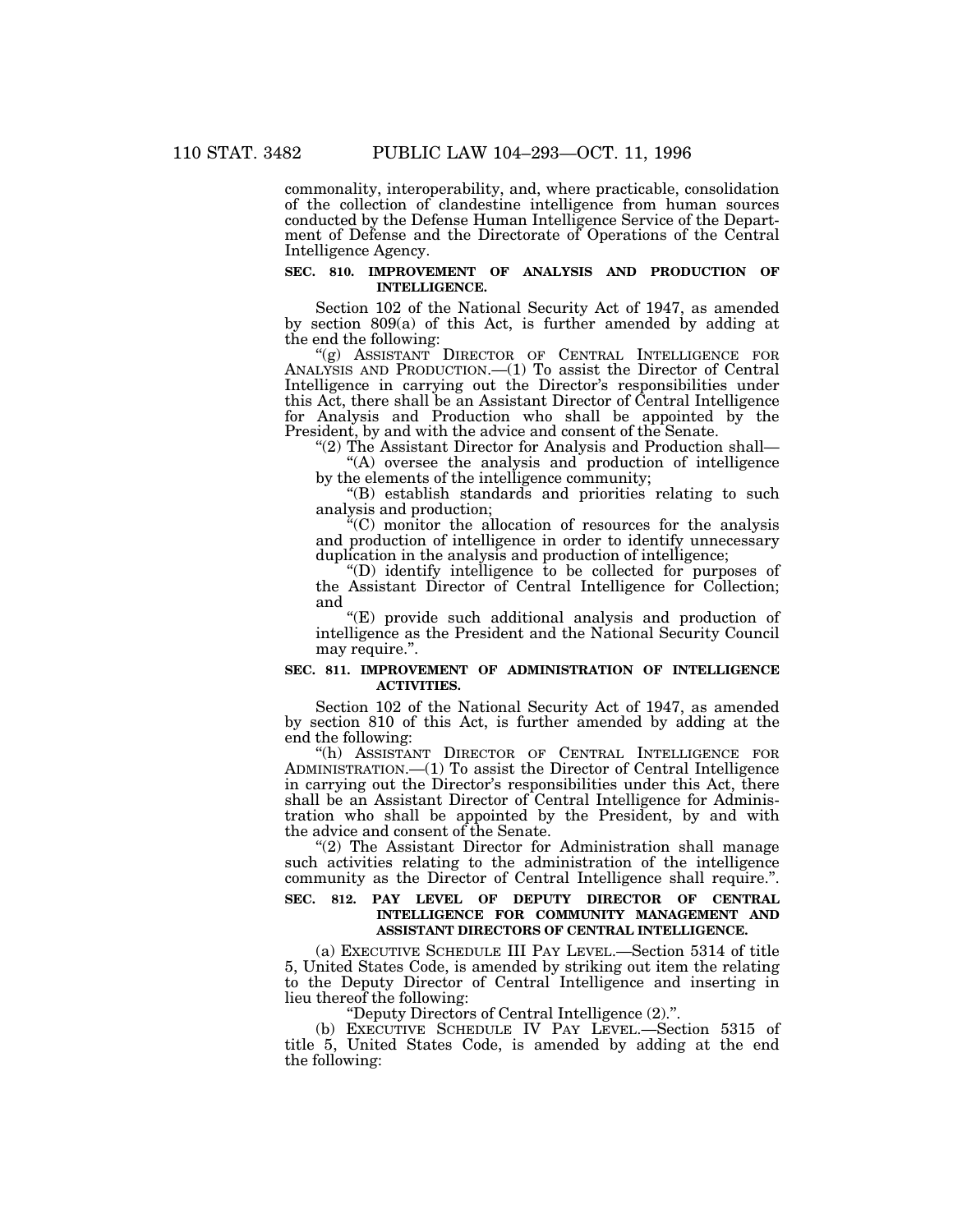commonality, interoperability, and, where practicable, consolidation of the collection of clandestine intelligence from human sources conducted by the Defense Human Intelligence Service of the Department of Defense and the Directorate of Operations of the Central Intelligence Agency.

## **SEC. 810. IMPROVEMENT OF ANALYSIS AND PRODUCTION OF INTELLIGENCE.**

Section 102 of the National Security Act of 1947, as amended by section 809(a) of this Act, is further amended by adding at the end the following:

''(g) ASSISTANT DIRECTOR OF CENTRAL INTELLIGENCE FOR ANALYSIS AND PRODUCTION.—(1) To assist the Director of Central Intelligence in carrying out the Director's responsibilities under this Act, there shall be an Assistant Director of Central Intelligence for Analysis and Production who shall be appointed by the President, by and with the advice and consent of the Senate.

''(2) The Assistant Director for Analysis and Production shall— ''(A) oversee the analysis and production of intelligence by the elements of the intelligence community;

''(B) establish standards and priorities relating to such analysis and production;

''(C) monitor the allocation of resources for the analysis and production of intelligence in order to identify unnecessary duplication in the analysis and production of intelligence;

''(D) identify intelligence to be collected for purposes of the Assistant Director of Central Intelligence for Collection; and

''(E) provide such additional analysis and production of intelligence as the President and the National Security Council may require.".

## **SEC. 811. IMPROVEMENT OF ADMINISTRATION OF INTELLIGENCE ACTIVITIES.**

Section 102 of the National Security Act of 1947, as amended by section 810 of this Act, is further amended by adding at the end the following:

''(h) ASSISTANT DIRECTOR OF CENTRAL INTELLIGENCE FOR ADMINISTRATION.—(1) To assist the Director of Central Intelligence in carrying out the Director's responsibilities under this Act, there shall be an Assistant Director of Central Intelligence for Administration who shall be appointed by the President, by and with the advice and consent of the Senate.

''(2) The Assistant Director for Administration shall manage such activities relating to the administration of the intelligence community as the Director of Central Intelligence shall require.''.

## **SEC. 812. PAY LEVEL OF DEPUTY DIRECTOR OF CENTRAL INTELLIGENCE FOR COMMUNITY MANAGEMENT AND ASSISTANT DIRECTORS OF CENTRAL INTELLIGENCE.**

(a) EXECUTIVE SCHEDULE III PAY LEVEL.—Section 5314 of title 5, United States Code, is amended by striking out item the relating to the Deputy Director of Central Intelligence and inserting in lieu thereof the following:

''Deputy Directors of Central Intelligence (2).''.

(b) EXECUTIVE SCHEDULE IV PAY LEVEL.—Section 5315 of title 5, United States Code, is amended by adding at the end the following: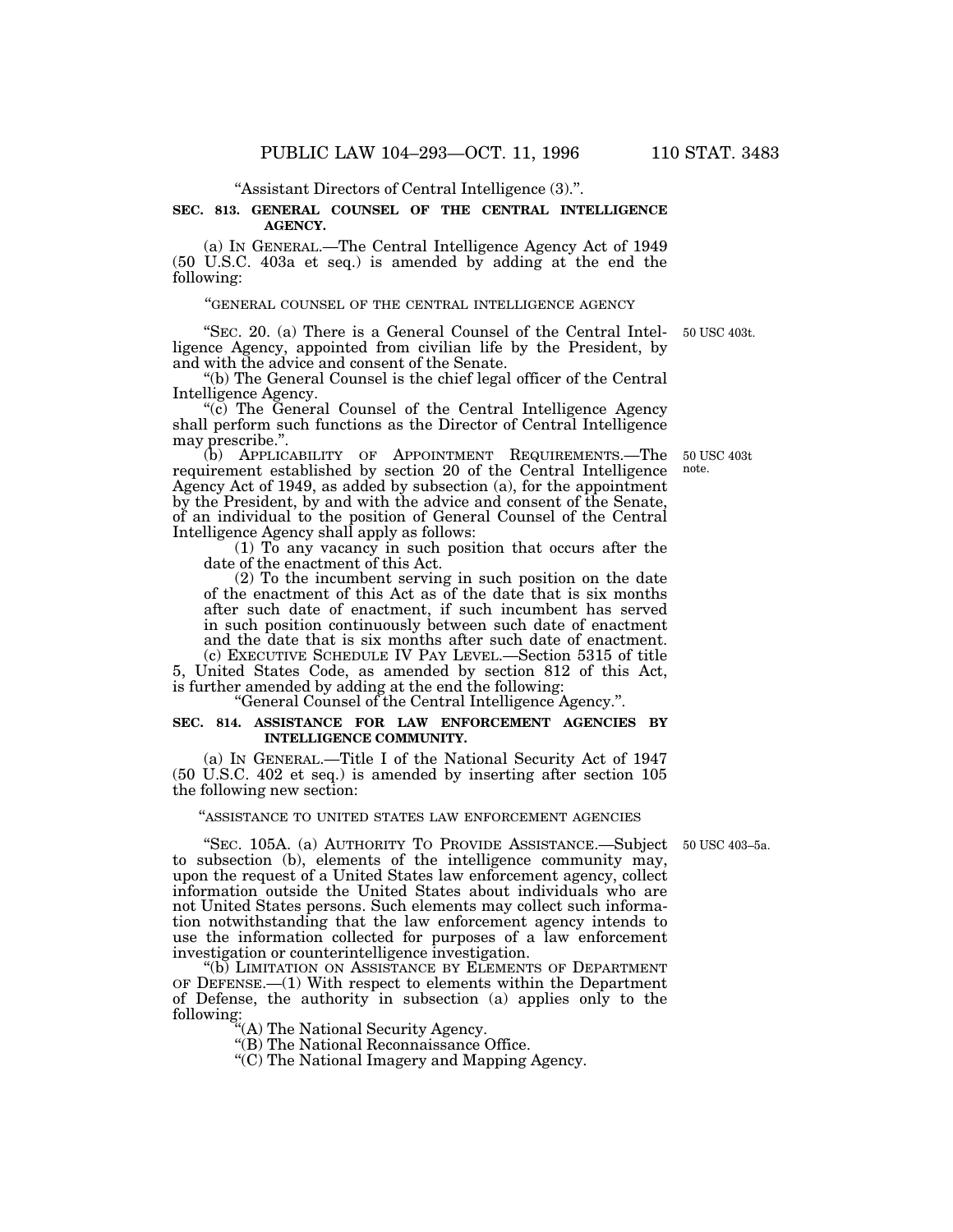''Assistant Directors of Central Intelligence (3).''.

## **SEC. 813. GENERAL COUNSEL OF THE CENTRAL INTELLIGENCE AGENCY.**

(a) IN GENERAL.—The Central Intelligence Agency Act of 1949 (50 U.S.C. 403a et seq.) is amended by adding at the end the following:

#### ''GENERAL COUNSEL OF THE CENTRAL INTELLIGENCE AGENCY

''SEC. 20. (a) There is a General Counsel of the Central Intelligence Agency, appointed from civilian life by the President, by and with the advice and consent of the Senate.

''(b) The General Counsel is the chief legal officer of the Central Intelligence Agency.

"(c) The General Counsel of the Central Intelligence Agency shall perform such functions as the Director of Central Intelligence may prescribe.''.

(b) APPLICABILITY OF APPOINTMENT REQUIREMENTS.—The requirement established by section 20 of the Central Intelligence Agency Act of 1949, as added by subsection (a), for the appointment by the President, by and with the advice and consent of the Senate, of an individual to the position of General Counsel of the Central Intelligence Agency shall apply as follows:

(1) To any vacancy in such position that occurs after the date of the enactment of this Act.

(2) To the incumbent serving in such position on the date of the enactment of this Act as of the date that is six months after such date of enactment, if such incumbent has served in such position continuously between such date of enactment and the date that is six months after such date of enactment. (c) EXECUTIVE SCHEDULE IV PAY LEVEL.—Section 5315 of title

5, United States Code, as amended by section 812 of this Act, is further amended by adding at the end the following:

''General Counsel of the Central Intelligence Agency.''.

## **SEC. 814. ASSISTANCE FOR LAW ENFORCEMENT AGENCIES BY INTELLIGENCE COMMUNITY.**

(a) IN GENERAL.—Title I of the National Security Act of 1947 (50 U.S.C. 402 et seq.) is amended by inserting after section 105 the following new section:

## ''ASSISTANCE TO UNITED STATES LAW ENFORCEMENT AGENCIES

"SEC. 105A. (a) AUTHORITY TO PROVIDE ASSISTANCE.—Subject to subsection (b), elements of the intelligence community may, upon the request of a United States law enforcement agency, collect information outside the United States about individuals who are not United States persons. Such elements may collect such information notwithstanding that the law enforcement agency intends to use the information collected for purposes of a law enforcement investigation or counterintelligence investigation.

''(b) LIMITATION ON ASSISTANCE BY ELEMENTS OF DEPARTMENT OF DEFENSE.—(1) With respect to elements within the Department of Defense, the authority in subsection (a) applies only to the following:

''(A) The National Security Agency.

''(B) The National Reconnaissance Office.

''(C) The National Imagery and Mapping Agency.

50 USC 403–5a.

50 USC 403t note.

50 USC 403t.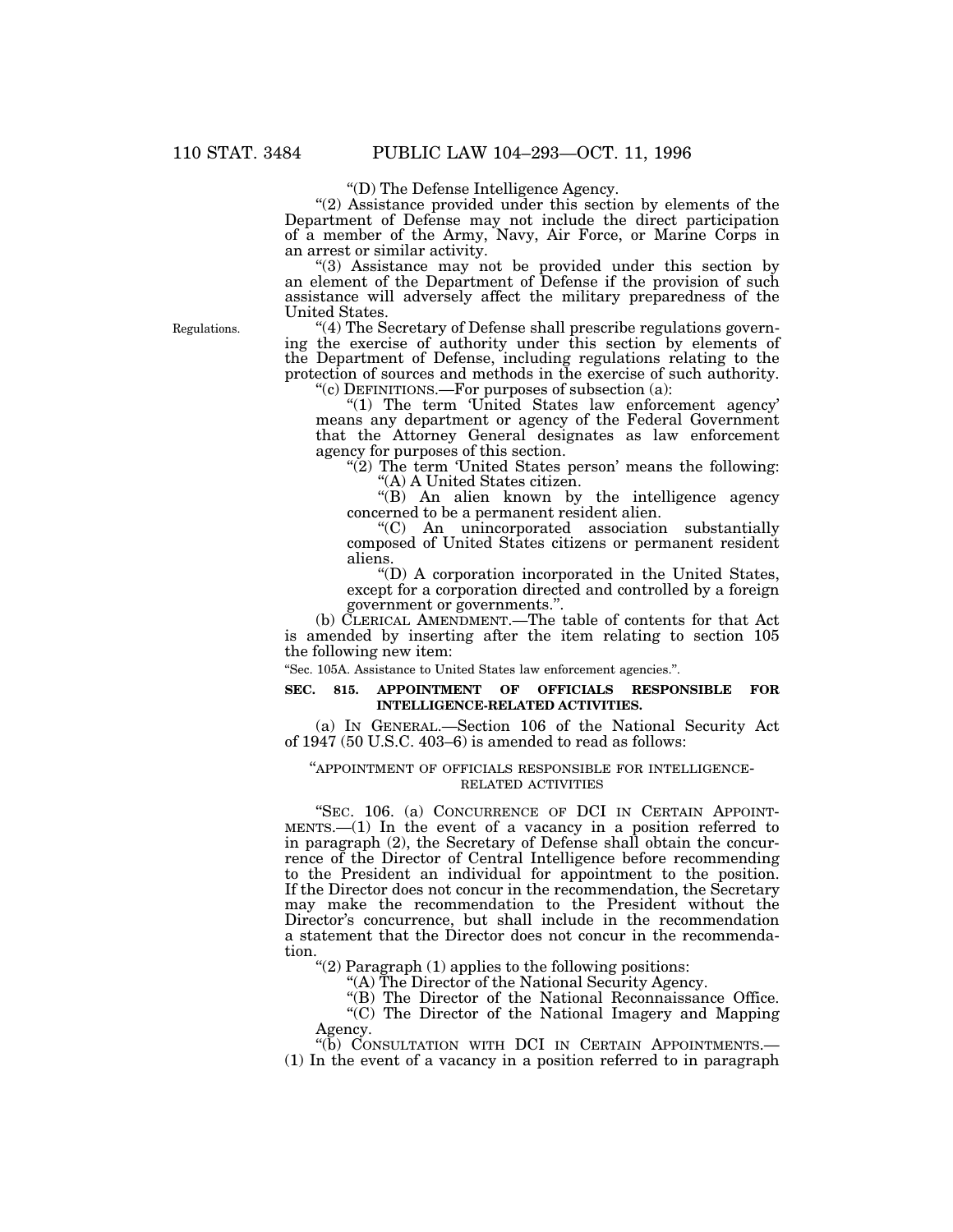''(D) The Defense Intelligence Agency.

"(2) Assistance provided under this section by elements of the Department of Defense may not include the direct participation of a member of the Army, Navy, Air Force, or Marine Corps in an arrest or similar activity.

''(3) Assistance may not be provided under this section by an element of the Department of Defense if the provision of such assistance will adversely affect the military preparedness of the United States.

''(4) The Secretary of Defense shall prescribe regulations governing the exercise of authority under this section by elements of the Department of Defense, including regulations relating to the protection of sources and methods in the exercise of such authority.  $C^{\prime\prime}(c)$  DEFINITIONS.—For purposes of subsection (a):

''(1) The term 'United States law enforcement agency' means any department or agency of the Federal Government that the Attorney General designates as law enforcement agency for purposes of this section.

 $\sqrt{\hat{Z}}$ ) The term 'United States person' means the following: ''(A) A United States citizen.

''(B) An alien known by the intelligence agency concerned to be a permanent resident alien.

''(C) An unincorporated association substantially composed of United States citizens or permanent resident aliens.

''(D) A corporation incorporated in the United States, except for a corporation directed and controlled by a foreign government or governments.''.

(b) CLERICAL AMENDMENT.—The table of contents for that Act is amended by inserting after the item relating to section 105 the following new item:

''Sec. 105A. Assistance to United States law enforcement agencies.''.

### **SEC. 815. APPOINTMENT OF OFFICIALS RESPONSIBLE FOR INTELLIGENCE-RELATED ACTIVITIES.**

(a) IN GENERAL.—Section 106 of the National Security Act of 1947 (50 U.S.C. 403–6) is amended to read as follows:

## ''APPOINTMENT OF OFFICIALS RESPONSIBLE FOR INTELLIGENCE- RELATED ACTIVITIES

''SEC. 106. (a) CONCURRENCE OF DCI IN CERTAIN APPOINT- MENTS.—(1) In the event of a vacancy in a position referred to in paragraph (2), the Secretary of Defense shall obtain the concurrence of the Director of Central Intelligence before recommending to the President an individual for appointment to the position. If the Director does not concur in the recommendation, the Secretary may make the recommendation to the President without the Director's concurrence, but shall include in the recommendation a statement that the Director does not concur in the recommendation.

''(2) Paragraph (1) applies to the following positions:

"(A) The Director of the National Security Agency.

''(B) The Director of the National Reconnaissance Office.

"(C) The Director of the National Imagery and Mapping Agency.

"(b) CONSULTATION WITH DCI IN CERTAIN APPOINTMENTS.

(1) In the event of a vacancy in a position referred to in paragraph

Regulations.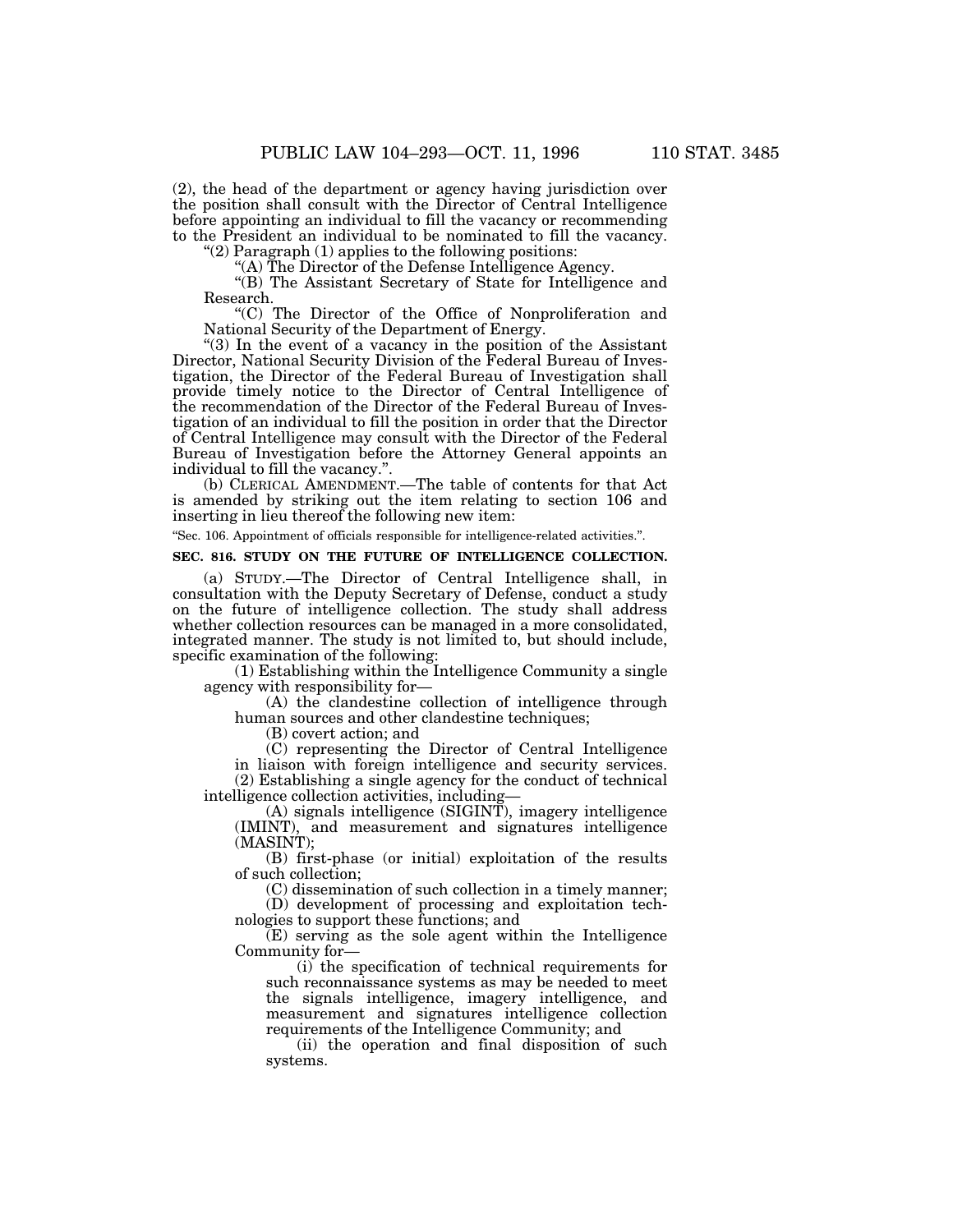(2), the head of the department or agency having jurisdiction over the position shall consult with the Director of Central Intelligence before appointing an individual to fill the vacancy or recommending to the President an individual to be nominated to fill the vacancy.

''(2) Paragraph (1) applies to the following positions:

''(A) The Director of the Defense Intelligence Agency.

''(B) The Assistant Secretary of State for Intelligence and Research.

''(C) The Director of the Office of Nonproliferation and National Security of the Department of Energy.

''(3) In the event of a vacancy in the position of the Assistant Director, National Security Division of the Federal Bureau of Investigation, the Director of the Federal Bureau of Investigation shall provide timely notice to the Director of Central Intelligence of the recommendation of the Director of the Federal Bureau of Investigation of an individual to fill the position in order that the Director of Central Intelligence may consult with the Director of the Federal Bureau of Investigation before the Attorney General appoints an individual to fill the vacancy.''.

(b) CLERICAL AMENDMENT.—The table of contents for that Act is amended by striking out the item relating to section 106 and inserting in lieu thereof the following new item:

''Sec. 106. Appointment of officials responsible for intelligence-related activities.''.

# **SEC. 816. STUDY ON THE FUTURE OF INTELLIGENCE COLLECTION.**

(a) STUDY.—The Director of Central Intelligence shall, in consultation with the Deputy Secretary of Defense, conduct a study on the future of intelligence collection. The study shall address whether collection resources can be managed in a more consolidated, integrated manner. The study is not limited to, but should include, specific examination of the following:

(1) Establishing within the Intelligence Community a single agency with responsibility for—

(A) the clandestine collection of intelligence through human sources and other clandestine techniques;

(B) covert action; and

(C) representing the Director of Central Intelligence in liaison with foreign intelligence and security services. (2) Establishing a single agency for the conduct of technical

intelligence collection activities, including— (A) signals intelligence (SIGINT), imagery intelligence (IMINT), and measurement and signatures intelligence (MASINT);

(B) first-phase (or initial) exploitation of the results of such collection;

(C) dissemination of such collection in a timely manner; (D) development of processing and exploitation tech-

nologies to support these functions; and (E) serving as the sole agent within the Intelligence

Community for— (i) the specification of technical requirements for such reconnaissance systems as may be needed to meet the signals intelligence, imagery intelligence, and measurement and signatures intelligence collection requirements of the Intelligence Community; and

(ii) the operation and final disposition of such systems.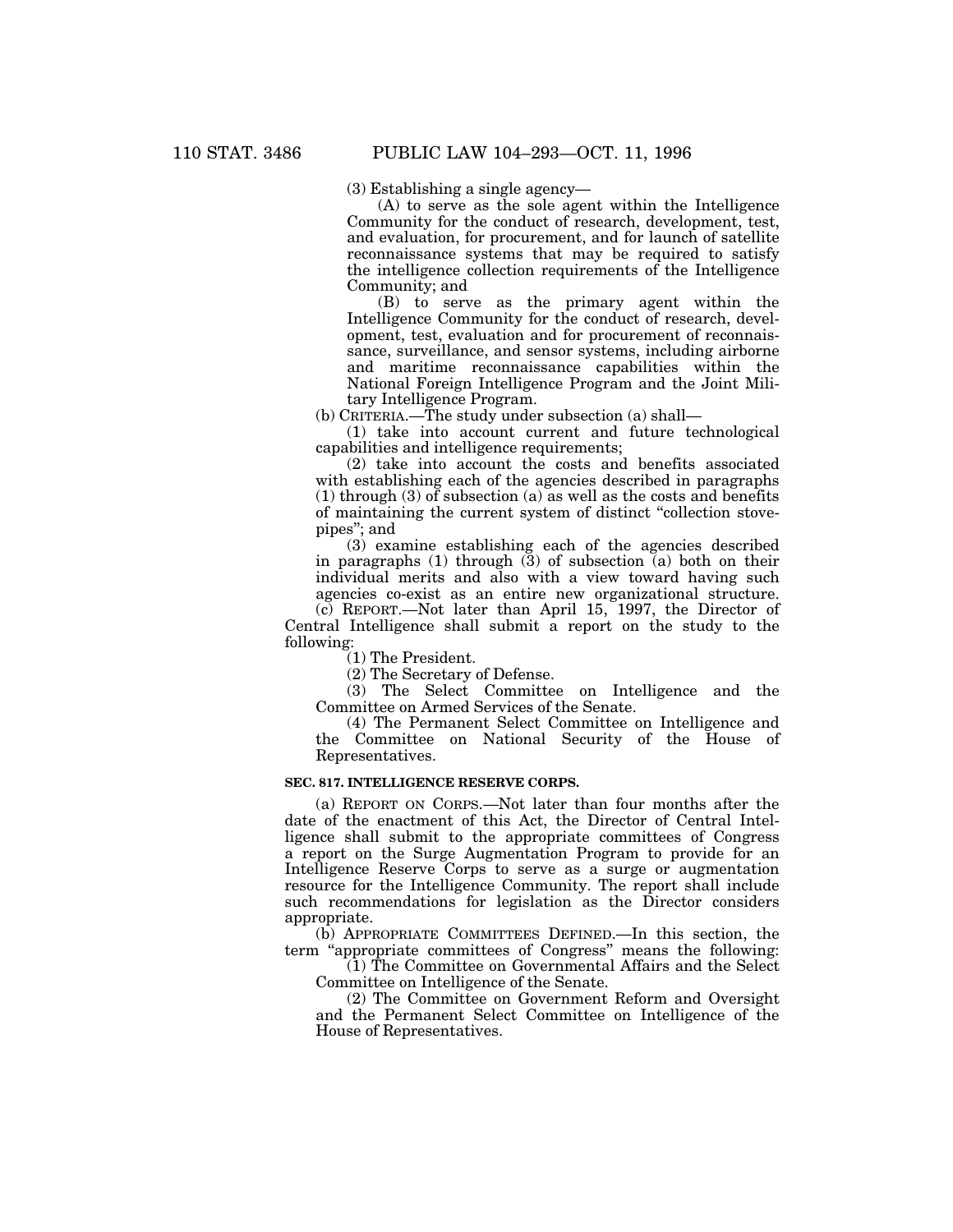(3) Establishing a single agency—

(A) to serve as the sole agent within the Intelligence Community for the conduct of research, development, test, and evaluation, for procurement, and for launch of satellite reconnaissance systems that may be required to satisfy the intelligence collection requirements of the Intelligence Community; and

(B) to serve as the primary agent within the Intelligence Community for the conduct of research, development, test, evaluation and for procurement of reconnaissance, surveillance, and sensor systems, including airborne and maritime reconnaissance capabilities within the National Foreign Intelligence Program and the Joint Military Intelligence Program.

(b) CRITERIA.—The study under subsection (a) shall—

(1) take into account current and future technological capabilities and intelligence requirements;

(2) take into account the costs and benefits associated with establishing each of the agencies described in paragraphs (1) through (3) of subsection (a) as well as the costs and benefits of maintaining the current system of distinct ''collection stovepipes''; and

(3) examine establishing each of the agencies described in paragraphs (1) through (3) of subsection (a) both on their individual merits and also with a view toward having such agencies co-exist as an entire new organizational structure.

(c) REPORT.—Not later than April 15, 1997, the Director of Central Intelligence shall submit a report on the study to the following:

(1) The President.

(2) The Secretary of Defense.

(3) The Select Committee on Intelligence and the Committee on Armed Services of the Senate.

(4) The Permanent Select Committee on Intelligence and the Committee on National Security of the House of Representatives.

# **SEC. 817. INTELLIGENCE RESERVE CORPS.**

(a) REPORT ON CORPS.—Not later than four months after the date of the enactment of this Act, the Director of Central Intelligence shall submit to the appropriate committees of Congress a report on the Surge Augmentation Program to provide for an Intelligence Reserve Corps to serve as a surge or augmentation resource for the Intelligence Community. The report shall include such recommendations for legislation as the Director considers appropriate.

(b) APPROPRIATE COMMITTEES DEFINED.—In this section, the term ''appropriate committees of Congress'' means the following:

(1) The Committee on Governmental Affairs and the Select Committee on Intelligence of the Senate.

(2) The Committee on Government Reform and Oversight and the Permanent Select Committee on Intelligence of the House of Representatives.